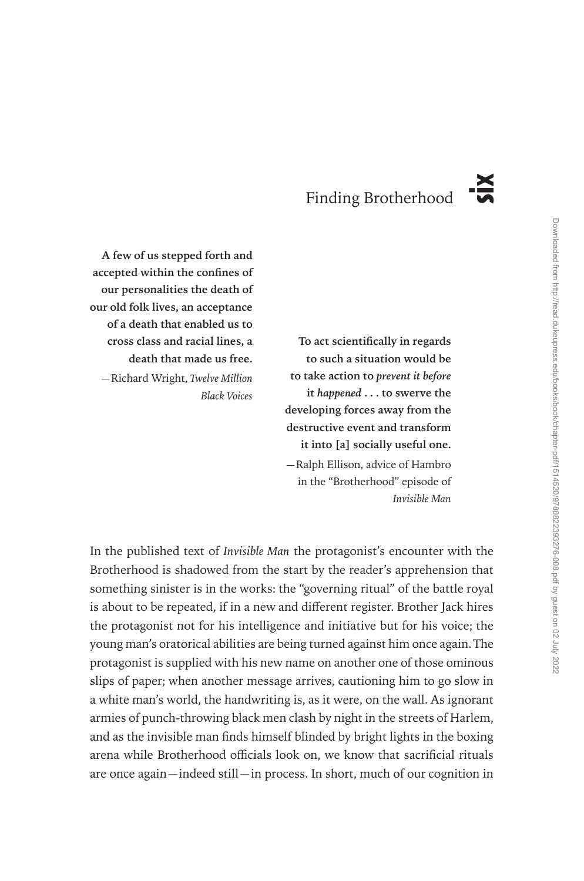# Finding Brotherhood

**A few of us stepped forth and accepted within the confines of our personalities the death of our old folk lives, an acceptance of a death that enabled us to cross class and racial lines, a death that made us free.** —Richard Wright, *Twelve Million Black Voices*

**To act scientifically in regards to such a situation would be to take action to** *prevent it before* **it** *happened* **. . . to swerve the developing forces away from the destructive event and transform it into [a] socially useful one.** —Ralph Ellison, advice of Hambro in the "Brotherhood" episode of *Invisible Man*

In the published text of *Invisible Man* the protagonist's encounter with the Brotherhood is shadowed from the start by the reader's apprehension that something sinister is in the works: the "governing ritual" of the battle royal is about to be repeated, if in a new and different register. Brother Jack hires the protagonist not for his intelligence and initiative but for his voice; the young man's oratorical abilities are being turned against him once again. The protagonist is supplied with his new name on another one of those ominous slips of paper; when another message arrives, cautioning him to go slow in a white man's world, the handwriting is, as it were, on the wall. As ignorant armies of punch-throwing black men clash by night in the streets of Harlem, and as the invisible man finds himself blinded by bright lights in the boxing arena while Brotherhood officials look on, we know that sacrificial rituals **Example 16 and A are once a steeped forth and a accepted within the confines of our personalities the death of our personalities the data that mandel us to cross class and racial lines, an**  $\sim$  **To act scientifically in r**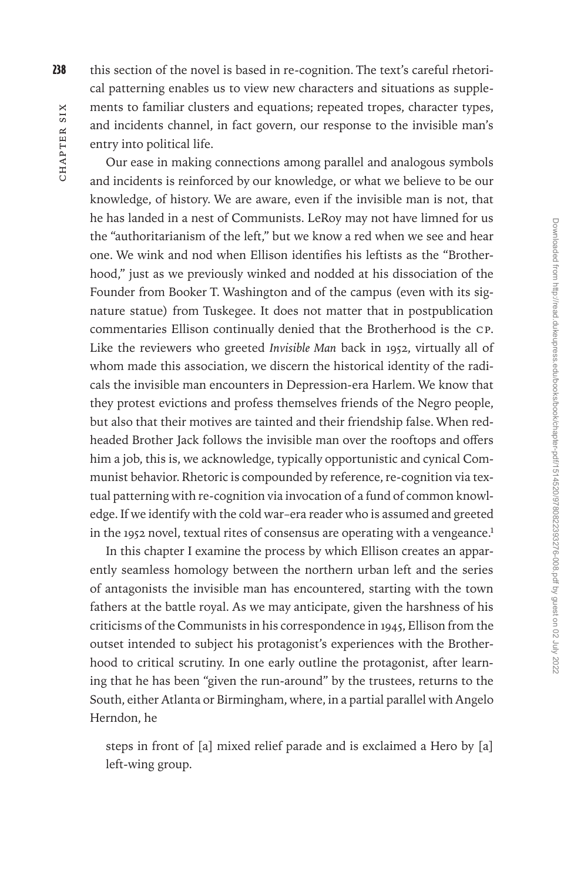238 this section of the novel is based in re-cognition. The text's careful rhetorical patterning enables us to view new characters and situations as supplements to familiar clusters and equations; repeated tropes, character types, and incidents channel, in fact govern, our response to the invisible man's entry into political life.

Our ease in making connections among parallel and analogous symbols and incidents is reinforced by our knowledge, or what we believe to be our knowledge, of history. We are aware, even if the invisible man is not, that he has landed in a nest of Communists. LeRoy may not have limned for us the "authoritarianism of the left," but we know a red when we see and hear one. We wink and nod when Ellison identifies his leftists as the "Brotherhood," just as we previously winked and nodded at his dissociation of the Founder from Booker T. Washington and of the campus (even with its signature statue) from Tuskegee. It does not matter that in postpublication commentaries Ellison continually denied that the Brotherhood is the CP. Like the reviewers who greeted *Invisible Man* back in 1952, virtually all of whom made this association, we discern the historical identity of the radicals the invisible man encounters in Depression-era Harlem. We know that they protest evictions and profess themselves friends of the Negro people, but also that their motives are tainted and their friendship false. When redheaded Brother Jack follows the invisible man over the rooftops and offers him a job, this is, we acknowledge, typically opportunistic and cynical Communist behavior. Rhetoric is compounded by reference, re-cognition via textual patterning with re-cognition via invocation of a fund of common knowledge. If we identify with the cold war–era reader who is assumed and greeted in the 1952 novel, textual rites of consensus are operating with a vengeance.<sup>1</sup>

In this chapter I examine the process by which Ellison creates an apparently seamless homology between the northern urban left and the series of antagonists the invisible man has encountered, starting with the town fathers at the battle royal. As we may anticipate, given the harshness of his criticisms of the Communists in his correspondence in 1945, Ellison from the outset intended to subject his protagonist's experiences with the Brotherhood to critical scrutiny. In one early outline the protagonist, after learning that he has been "given the run-around" by the trustees, returns to the South, either Atlanta or Birmingham, where, in a partial parallel with Angelo Herndon, he

steps in front of [a] mixed relief parade and is exclaimed a Hero by [a] left-wing group.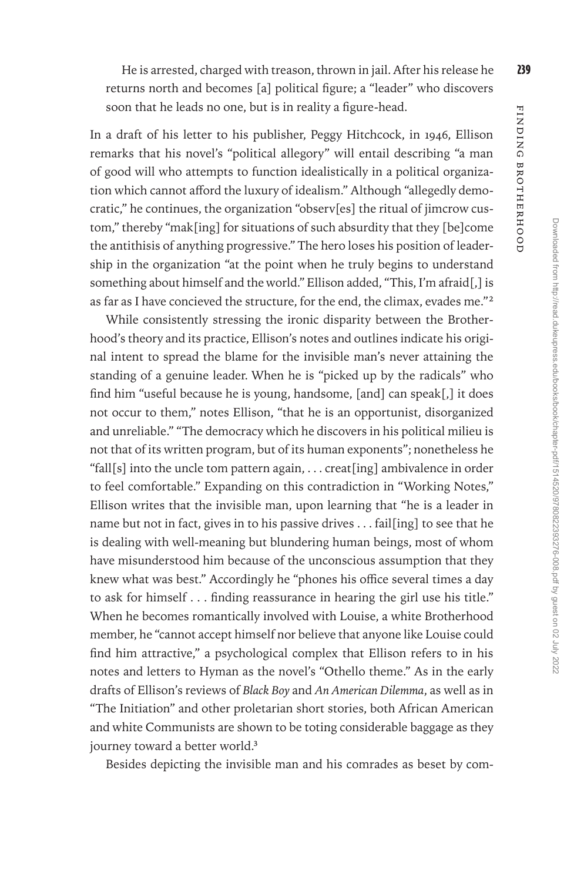He is arrested, charged with treason, thrown in jail. After his release he 239 returns north and becomes [a] political figure; a "leader" who discovers soon that he leads no one, but is in reality a figure-head.

In a draft of his letter to his publisher, Peggy Hitchcock, in 1946, Ellison remarks that his novel's "political allegory" will entail describing "a man of good will who attempts to function idealistically in a political organization which cannot afford the luxury of idealism." Although "allegedly democratic," he continues, the organization "observ[es] the ritual of jimcrow custom," thereby "mak[ing] for situations of such absurdity that they [be]come the antithisis of anything progressive." The hero loses his position of leadership in the organization "at the point when he truly begins to understand something about himself and the world." Ellison added, "This, I'm afraid[,] is as far as I have concieved the structure, for the end, the climax, evades me."2

While consistently stressing the ironic disparity between the Brotherhood's theory and its practice, Ellison's notes and outlines indicate his original intent to spread the blame for the invisible man's never attaining the standing of a genuine leader. When he is "picked up by the radicals" who find him "useful because he is young, handsome, [and] can speak[,] it does not occur to them," notes Ellison, "that he is an opportunist, disorganized and unreliable." "The democracy which he discovers in his political milieu is not that of its written program, but of its human exponents"; nonetheless he "fall[s] into the uncle tom pattern again, . . . creat[ing] ambivalence in order to feel comfortable." Expanding on this contradiction in "Working Notes," Ellison writes that the invisible man, upon learning that "he is a leader in name but not in fact, gives in to his passive drives . . . fail[ing] to see that he is dealing with well-meaning but blundering human beings, most of whom have misunderstood him because of the unconscious assumption that they knew what was best." Accordingly he "phones his office several times a day to ask for himself . . . finding reassurance in hearing the girl use his title." When he becomes romantically involved with Louise, a white Brotherhood member, he "cannot accept himself nor believe that anyone like Louise could find him attractive," a psychological complex that Ellison refers to in his notes and letters to Hyman as the novel's "Othello theme." As in the early drafts of Ellison's reviews of *Black Boy* and *An American Dilemma*, as well as in "The Initiation" and other proletarian short stories, both African American and white Communists are shown to be toting considerable baggage as they journey toward a better world.<sup>3</sup>

Besides depicting the invisible man and his comrades as beset by com-

Finding Brotherhood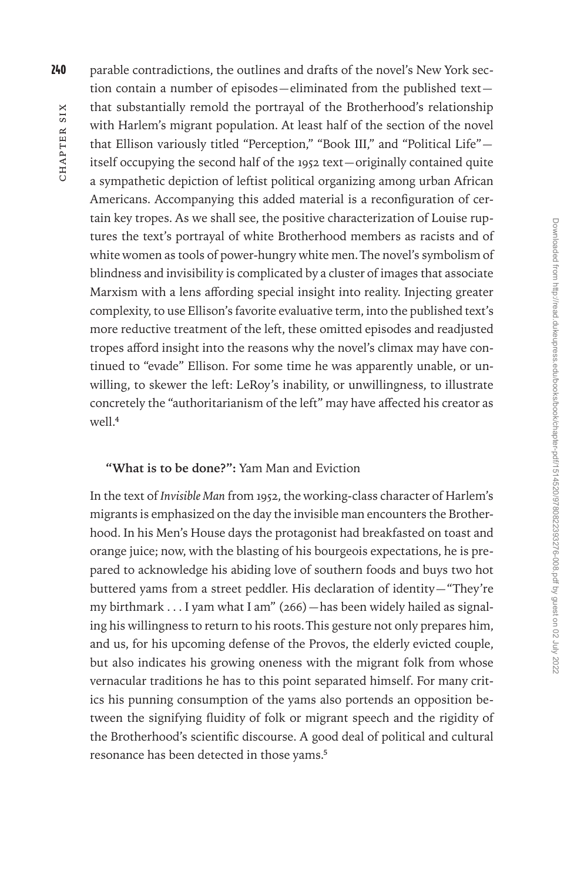240 parable contradictions, the outlines and drafts of the novel's New York section contain a number of episodes—eliminated from the published text that substantially remold the portrayal of the Brotherhood's relationship with Harlem's migrant population. At least half of the section of the novel that Ellison variously titled "Perception," "Book III," and "Political Life" itself occupying the second half of the 1952 text—originally contained quite a sympathetic depiction of leftist political organizing among urban African Americans. Accompanying this added material is a reconfiguration of certain key tropes. As we shall see, the positive characterization of Louise ruptures the text's portrayal of white Brotherhood members as racists and of white women as tools of power-hungry white men. The novel's symbolism of blindness and invisibility is complicated by a cluster of images that associate Marxism with a lens affording special insight into reality. Injecting greater complexity, to use Ellison's favorite evaluative term, into the published text's more reductive treatment of the left, these omitted episodes and readjusted tropes afford insight into the reasons why the novel's climax may have continued to "evade" Ellison. For some time he was apparently unable, or unwilling, to skewer the left: LeRoy's inability, or unwillingness, to illustrate concretely the "authoritarianism of the left" may have affected his creator as  $w$ ell<sup>4</sup>

#### **"What is to be done?":** Yam Man and Eviction

In the text of *Invisible Man* from 1952, the working-class character of Harlem's migrants is emphasized on the day the invisible man encounters the Brotherhood. In his Men's House days the protagonist had breakfasted on toast and orange juice; now, with the blasting of his bourgeois expectations, he is prepared to acknowledge his abiding love of southern foods and buys two hot buttered yams from a street peddler. His declaration of identity—"They're my birthmark . . . I yam what I am" (266)—has been widely hailed as signaling his willingness to return to his roots. This gesture not only prepares him, and us, for his upcoming defense of the Provos, the elderly evicted couple, but also indicates his growing oneness with the migrant folk from whose vernacular traditions he has to this point separated himself. For many critics his punning consumption of the yams also portends an opposition between the signifying fluidity of folk or migrant speech and the rigidity of the Brotherhood's scientific discourse. A good deal of political and cultural resonance has been detected in those yams.<sup>5</sup>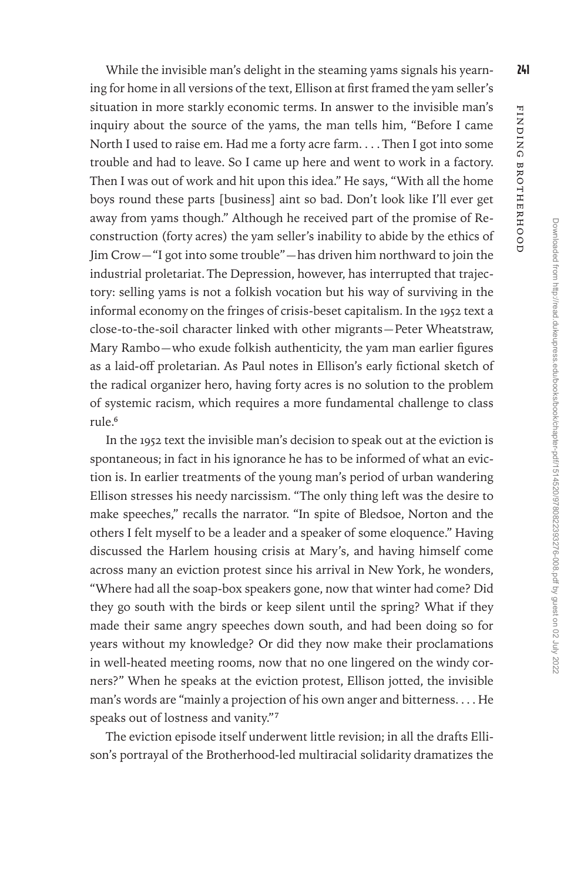Downloaded from http://read.dukeupress.edu/books/book/chapter-pdf/1514520/9780822393276-008.pdf by guest on 02 July 2022

Downloaded from http://read.dukeupress.edu/books/book/chapter-pdf/1514520/9780822937276-008.pdf by guest on 02 July 2022

While the invisible man's delight in the steaming yams signals his yearn- $\frac{241}{12}$ ing for home in all versions of the text, Ellison at first framed the yam seller's situation in more starkly economic terms. In answer to the invisible man's inquiry about the source of the yams, the man tells him, "Before I came North I used to raise em. Had me a forty acre farm. . . . Then I got into some trouble and had to leave. So I came up here and went to work in a factory. Then I was out of work and hit upon this idea." He says, "With all the home boys round these parts [business] aint so bad. Don't look like I'll ever get away from yams though." Although he received part of the promise of Reconstruction (forty acres) the yam seller's inability to abide by the ethics of Jim Crow—"I got into some trouble"—has driven him northward to join the industrial proletariat. The Depression, however, has interrupted that trajectory: selling yams is not a folkish vocation but his way of surviving in the informal economy on the fringes of crisis-beset capitalism. In the 1952 text a close-to-the-soil character linked with other migrants—Peter Wheatstraw, Mary Rambo—who exude folkish authenticity, the yam man earlier figures as a laid-off proletarian. As Paul notes in Ellison's early fictional sketch of the radical organizer hero, having forty acres is no solution to the problem of systemic racism, which requires a more fundamental challenge to class  $rule<sub>6</sub>$ 

In the 1952 text the invisible man's decision to speak out at the eviction is spontaneous; in fact in his ignorance he has to be informed of what an eviction is. In earlier treatments of the young man's period of urban wandering Ellison stresses his needy narcissism. "The only thing left was the desire to make speeches," recalls the narrator. "In spite of Bledsoe, Norton and the others I felt myself to be a leader and a speaker of some eloquence." Having discussed the Harlem housing crisis at Mary's, and having himself come across many an eviction protest since his arrival in New York, he wonders, "Where had all the soap-box speakers gone, now that winter had come? Did they go south with the birds or keep silent until the spring? What if they made their same angry speeches down south, and had been doing so for years without my knowledge? Or did they now make their proclamations in well-heated meeting rooms, now that no one lingered on the windy corners?" When he speaks at the eviction protest, Ellison jotted, the invisible man's words are "mainly a projection of his own anger and bitterness. . . . He speaks out of lostness and vanity."7

The eviction episode itself underwent little revision; in all the drafts Ellison's portrayal of the Brotherhood-led multiracial solidarity dramatizes the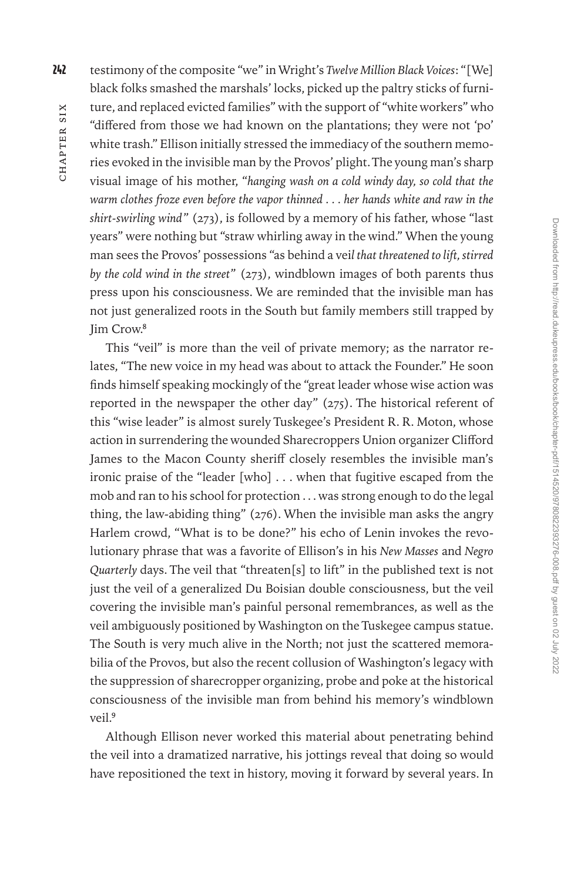CHAPTER SIX hapter Six

242 testimony of the composite "we" in Wright's *Twelve Million Black Voices*: "[We] black folks smashed the marshals' locks, picked up the paltry sticks of furniture, and replaced evicted families" with the support of "white workers" who "differed from those we had known on the plantations; they were not 'po' white trash." Ellison initially stressed the immediacy of the southern memories evoked in the invisible man by the Provos' plight. The young man's sharp visual image of his mother, "*hanging wash on a cold windy day, so cold that the warm clothes froze even before the vapor thinned . . . her hands white and raw in the shirt-swirling wind*" (273), is followed by a memory of his father, whose "last years" were nothing but "straw whirling away in the wind." When the young man sees the Provos' possessions "as behind a vei*l that threatened to lift, stirred by the cold wind in the street*" (273), windblown images of both parents thus press upon his consciousness. We are reminded that the invisible man has not just generalized roots in the South but family members still trapped by Jim Crow.8

This "veil" is more than the veil of private memory; as the narrator relates, "The new voice in my head was about to attack the Founder." He soon finds himself speaking mockingly of the "great leader whose wise action was reported in the newspaper the other day" (275). The historical referent of this "wise leader" is almost surely Tuskegee's President R. R. Moton, whose action in surrendering the wounded Sharecroppers Union organizer Clifford James to the Macon County sheriff closely resembles the invisible man's ironic praise of the "leader [who] . . . when that fugitive escaped from the mob and ran to his school for protection . . . was strong enough to do the legal thing, the law-abiding thing" (276). When the invisible man asks the angry Harlem crowd, "What is to be done?" his echo of Lenin invokes the revolutionary phrase that was a favorite of Ellison's in his *New Masses* and *Negro Quarterly* days. The veil that "threaten[s] to lift" in the published text is not just the veil of a generalized Du Boisian double consciousness, but the veil covering the invisible man's painful personal remembrances, as well as the veil ambiguously positioned by Washington on the Tuskegee campus statue. The South is very much alive in the North; not just the scattered memorabilia of the Provos, but also the recent collusion of Washington's legacy with the suppression of sharecropper organizing, probe and poke at the historical consciousness of the invisible man from behind his memory's windblown veil.9

Although Ellison never worked this material about penetrating behind the veil into a dramatized narrative, his jottings reveal that doing so would have repositioned the text in history, moving it forward by several years. In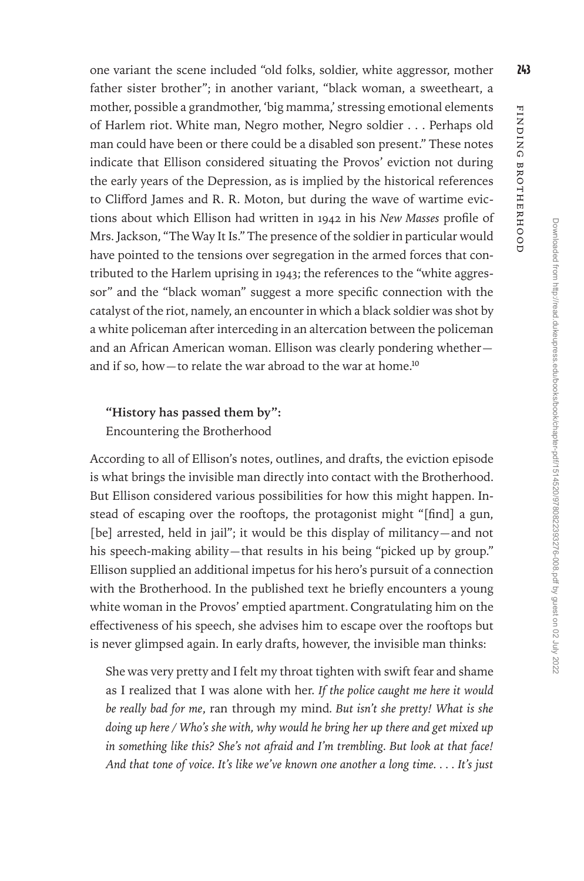one variant the scene included "old folks, soldier, white aggressor, mother 243 father sister brother"; in another variant, "black woman, a sweetheart, a mother, possible a grandmother, 'big mamma,' stressing emotional elements of Harlem riot. White man, Negro mother, Negro soldier . . . Perhaps old man could have been or there could be a disabled son present." These notes indicate that Ellison considered situating the Provos' eviction not during the early years of the Depression, as is implied by the historical references to Clifford James and R. R. Moton, but during the wave of wartime evictions about which Ellison had written in 1942 in his *New Masses* profile of Mrs. Jackson, "The Way It Is." The presence of the soldier in particular would have pointed to the tensions over segregation in the armed forces that contributed to the Harlem uprising in 1943; the references to the "white aggressor" and the "black woman" suggest a more specific connection with the catalyst of the riot, namely, an encounter in which a black soldier was shot by a white policeman after interceding in an altercation between the policeman and an African American woman. Ellison was clearly pondering whether and if so, how-to relate the war abroad to the war at home.<sup>10</sup>

## **"History has passed them by":**  Encountering the Brotherhood

According to all of Ellison's notes, outlines, and drafts, the eviction episode is what brings the invisible man directly into contact with the Brotherhood. But Ellison considered various possibilities for how this might happen. Instead of escaping over the rooftops, the protagonist might "[find] a gun, [be] arrested, held in jail"; it would be this display of militancy-and not his speech-making ability—that results in his being "picked up by group." Ellison supplied an additional impetus for his hero's pursuit of a connection with the Brotherhood. In the published text he briefly encounters a young white woman in the Provos' emptied apartment. Congratulating him on the effectiveness of his speech, she advises him to escape over the rooftops but is never glimpsed again. In early drafts, however, the invisible man thinks:

She was very pretty and I felt my throat tighten with swift fear and shame as I realized that I was alone with her. *If the police caught me here it would be really bad for me*, ran through my mind*. But isn't she pretty! What is she doing up here / Who's she with, why would he bring her up there and get mixed up in something like this? She's not afraid and I'm trembling. But look at that face! And that tone of voice. It's like we've known one another a long time. . . . It's just* 

Finding Brotherhood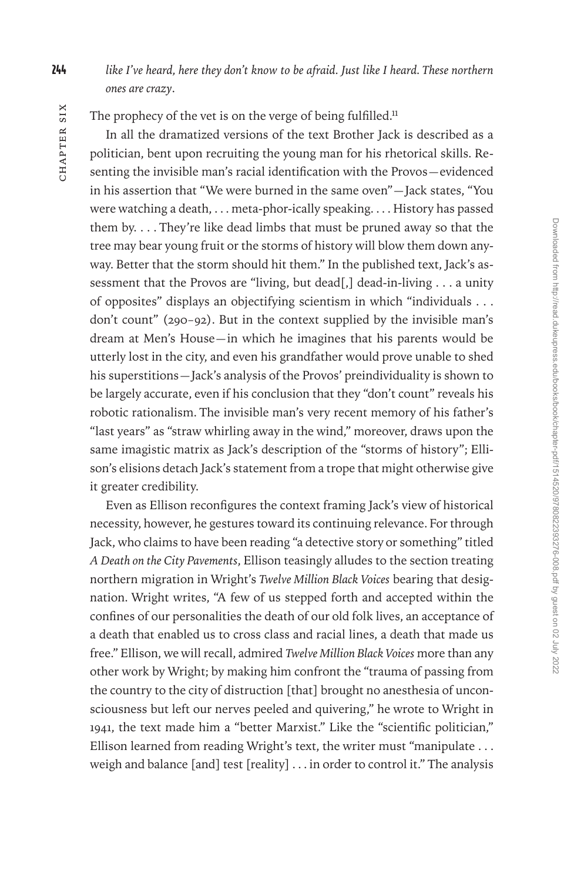244 *like I've heard, here they don't know to be afraid. Just like I heard. These northern ones are crazy*.

The prophecy of the vet is on the verge of being fulfilled.<sup>11</sup>

In all the dramatized versions of the text Brother Jack is described as a politician, bent upon recruiting the young man for his rhetorical skills. Resenting the invisible man's racial identification with the Provos—evidenced in his assertion that "We were burned in the same oven"—Jack states, "You were watching a death, . . . meta-phor-ically speaking. . . . History has passed them by. . . . They're like dead limbs that must be pruned away so that the tree may bear young fruit or the storms of history will blow them down anyway. Better that the storm should hit them." In the published text, Jack's assessment that the Provos are "living, but dead[,] dead-in-living . . . a unity of opposites" displays an objectifying scientism in which "individuals . . . don't count" (290–92). But in the context supplied by the invisible man's dream at Men's House—in which he imagines that his parents would be utterly lost in the city, and even his grandfather would prove unable to shed his superstitions—Jack's analysis of the Provos' preindividuality is shown to be largely accurate, even if his conclusion that they "don't count" reveals his robotic rationalism. The invisible man's very recent memory of his father's "last years" as "straw whirling away in the wind," moreover, draws upon the same imagistic matrix as Jack's description of the "storms of history"; Ellison's elisions detach Jack's statement from a trope that might otherwise give it greater credibility.

Even as Ellison reconfigures the context framing Jack's view of historical necessity, however, he gestures toward its continuing relevance. For through Jack, who claims to have been reading "a detective story or something" titled *A Death on the City Pavements*, Ellison teasingly alludes to the section treating northern migration in Wright's *Twelve Million Black Voices* bearing that designation. Wright writes, "A few of us stepped forth and accepted within the confines of our personalities the death of our old folk lives, an acceptance of a death that enabled us to cross class and racial lines, a death that made us free." Ellison, we will recall, admired *Twelve Million Black Voices* more than any other work by Wright; by making him confront the "trauma of passing from the country to the city of distruction [that] brought no anesthesia of unconsciousness but left our nerves peeled and quivering," he wrote to Wright in 1941, the text made him a "better Marxist." Like the "scientific politician," Ellison learned from reading Wright's text, the writer must "manipulate . . . weigh and balance [and] test [reality] . . . in order to control it." The analysis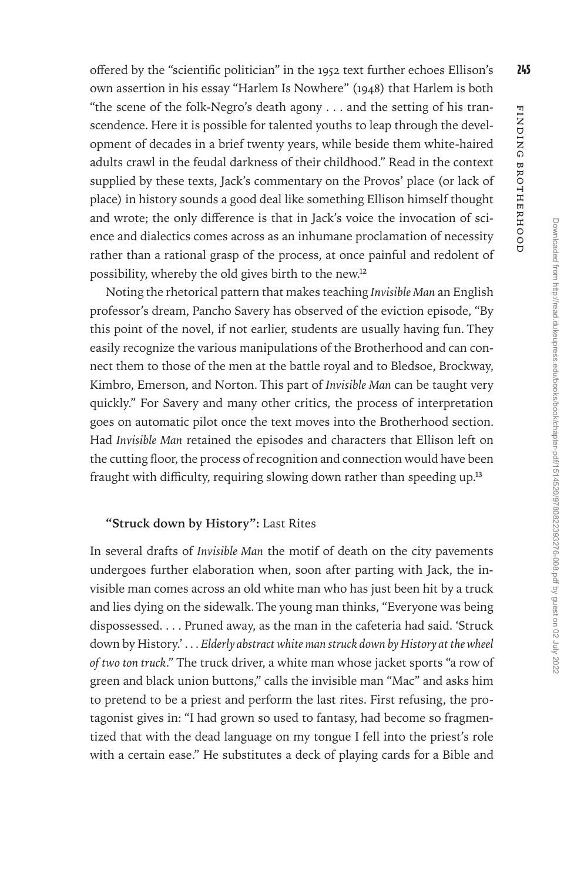Downloaded from http://read.dukeupress.edu/books/book/chapter-pdf/1514520/9780822393276-008.pdf by guest on 02 July 2022

Downloaded from http://read.dukeupress.edu/books/book/chapter-pdf/1514520/9780822937276-008.pdf by guest on 02 July 2022

Finding Brotherhood

FINDING BROTHERHOOD

offered by the "scientific politician" in the 1952 text further echoes Ellison's 245 own assertion in his essay "Harlem Is Nowhere" (1948) that Harlem is both "the scene of the folk-Negro's death agony . . . and the setting of his transcendence. Here it is possible for talented youths to leap through the development of decades in a brief twenty years, while beside them white-haired adults crawl in the feudal darkness of their childhood." Read in the context supplied by these texts, Jack's commentary on the Provos' place (or lack of place) in history sounds a good deal like something Ellison himself thought and wrote; the only difference is that in Jack's voice the invocation of science and dialectics comes across as an inhumane proclamation of necessity rather than a rational grasp of the process, at once painful and redolent of possibility, whereby the old gives birth to the new.12

Noting the rhetorical pattern that makes teaching *Invisible Man* an English professor's dream, Pancho Savery has observed of the eviction episode, "By this point of the novel, if not earlier, students are usually having fun. They easily recognize the various manipulations of the Brotherhood and can connect them to those of the men at the battle royal and to Bledsoe, Brockway, Kimbro, Emerson, and Norton. This part of *Invisible Man* can be taught very quickly." For Savery and many other critics, the process of interpretation goes on automatic pilot once the text moves into the Brotherhood section. Had *Invisible Man* retained the episodes and characters that Ellison left on the cutting floor, the process of recognition and connection would have been fraught with difficulty, requiring slowing down rather than speeding up.<sup>13</sup>

#### **"Struck down by History":** Last Rites

In several drafts of *Invisible Man* the motif of death on the city pavements undergoes further elaboration when, soon after parting with Jack, the invisible man comes across an old white man who has just been hit by a truck and lies dying on the sidewalk. The young man thinks, "Everyone was being dispossessed. . . . Pruned away, as the man in the cafeteria had said. 'Struck down by History.' . . . *Elderly abstract white man struck down by History at the wheel of two ton truck*." The truck driver, a white man whose jacket sports "a row of green and black union buttons," calls the invisible man "Mac" and asks him to pretend to be a priest and perform the last rites. First refusing, the protagonist gives in: "I had grown so used to fantasy, had become so fragmentized that with the dead language on my tongue I fell into the priest's role with a certain ease." He substitutes a deck of playing cards for a Bible and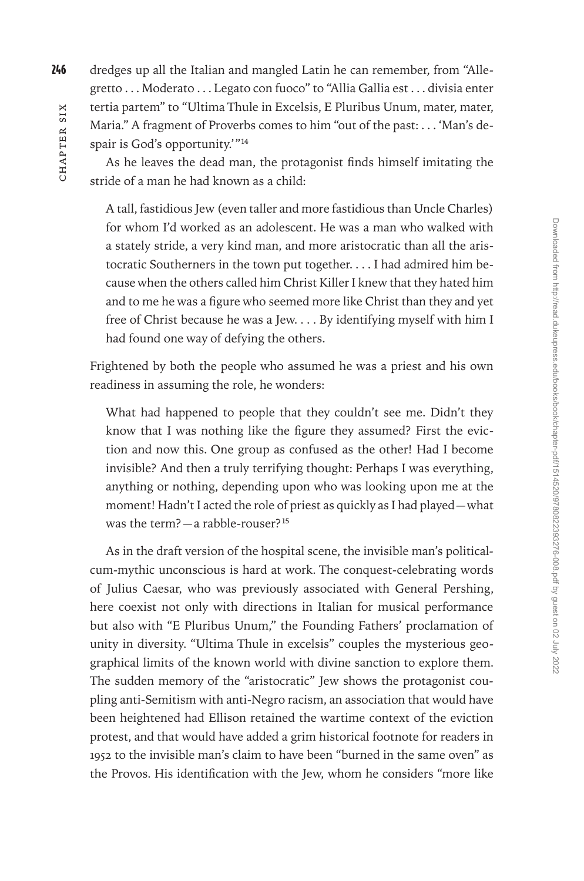246 dredges up all the Italian and mangled Latin he can remember, from "Allegretto . . . Moderato . . . Legato con fuoco" to "Allia Gallia est . . . divisia enter tertia partem" to "Ultima Thule in Excelsis, E Pluribus Unum, mater, mater, Maria." A fragment of Proverbs comes to him "out of the past: . . . 'Man's despair is God's opportunity.'"14

As he leaves the dead man, the protagonist finds himself imitating the stride of a man he had known as a child:

A tall, fastidious Jew (even taller and more fastidious than Uncle Charles) for whom I'd worked as an adolescent. He was a man who walked with a stately stride, a very kind man, and more aristocratic than all the aristocratic Southerners in the town put together. . . . I had admired him because when the others called him Christ Killer I knew that they hated him and to me he was a figure who seemed more like Christ than they and yet free of Christ because he was a Jew. . . . By identifying myself with him I had found one way of defying the others.

Frightened by both the people who assumed he was a priest and his own readiness in assuming the role, he wonders:

What had happened to people that they couldn't see me. Didn't they know that I was nothing like the figure they assumed? First the eviction and now this. One group as confused as the other! Had I become invisible? And then a truly terrifying thought: Perhaps I was everything, anything or nothing, depending upon who was looking upon me at the moment! Hadn't I acted the role of priest as quickly as I had played—what was the term?—a rabble-rouser?15

As in the draft version of the hospital scene, the invisible man's politicalcum-mythic unconscious is hard at work. The conquest-celebrating words of Julius Caesar, who was previously associated with General Pershing, here coexist not only with directions in Italian for musical performance but also with "E Pluribus Unum," the Founding Fathers' proclamation of unity in diversity. "Ultima Thule in excelsis" couples the mysterious geographical limits of the known world with divine sanction to explore them. The sudden memory of the "aristocratic" Jew shows the protagonist coupling anti-Semitism with anti-Negro racism, an association that would have been heightened had Ellison retained the wartime context of the eviction protest, and that would have added a grim historical footnote for readers in 1952 to the invisible man's claim to have been "burned in the same oven" as the Provos. His identification with the Jew, whom he considers "more like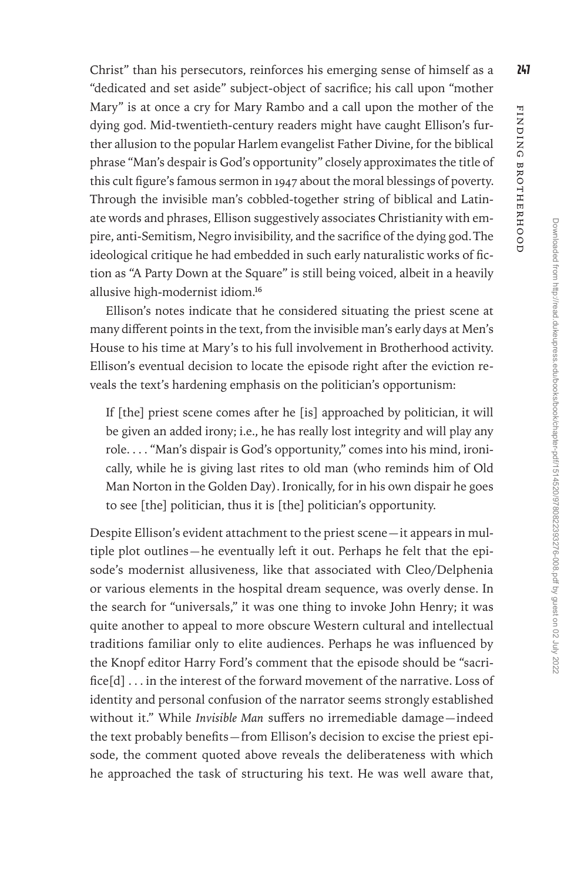Christ" than his persecutors, reinforces his emerging sense of himself as a  $247$ "dedicated and set aside" subject-object of sacrifice; his call upon "mother Mary" is at once a cry for Mary Rambo and a call upon the mother of the dying god. Mid-twentieth-century readers might have caught Ellison's further allusion to the popular Harlem evangelist Father Divine, for the biblical phrase "Man's despair is God's opportunity" closely approximates the title of this cult figure's famous sermon in 1947 about the moral blessings of poverty. Through the invisible man's cobbled-together string of biblical and Latinate words and phrases, Ellison suggestively associates Christianity with empire, anti-Semitism, Negro invisibility, and the sacrifice of the dying god. The ideological critique he had embedded in such early naturalistic works of fiction as "A Party Down at the Square" is still being voiced, albeit in a heavily allusive high-modernist idiom.16

Ellison's notes indicate that he considered situating the priest scene at many different points in the text, from the invisible man's early days at Men's House to his time at Mary's to his full involvement in Brotherhood activity. Ellison's eventual decision to locate the episode right after the eviction reveals the text's hardening emphasis on the politician's opportunism:

If [the] priest scene comes after he [is] approached by politician, it will be given an added irony; i.e., he has really lost integrity and will play any role. . . . "Man's dispair is God's opportunity," comes into his mind, ironically, while he is giving last rites to old man (who reminds him of Old Man Norton in the Golden Day). Ironically, for in his own dispair he goes to see [the] politician, thus it is [the] politician's opportunity.

Despite Ellison's evident attachment to the priest scene—it appears in multiple plot outlines—he eventually left it out. Perhaps he felt that the episode's modernist allusiveness, like that associated with Cleo/Delphenia or various elements in the hospital dream sequence, was overly dense. In the search for "universals," it was one thing to invoke John Henry; it was quite another to appeal to more obscure Western cultural and intellectual traditions familiar only to elite audiences. Perhaps he was influenced by the Knopf editor Harry Ford's comment that the episode should be "sacrifice[d] . . . in the interest of the forward movement of the narrative. Loss of identity and personal confusion of the narrator seems strongly established without it." While *Invisible Man* suffers no irremediable damage—indeed the text probably benefits—from Ellison's decision to excise the priest episode, the comment quoted above reveals the deliberateness with which he approached the task of structuring his text. He was well aware that,

Finding Brotherhood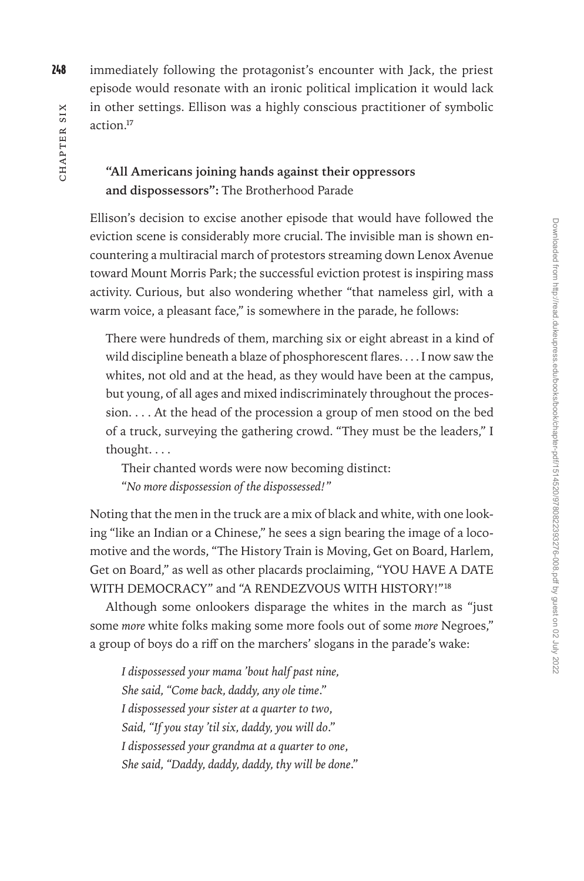248 immediately following the protagonist's encounter with Jack, the priest episode would resonate with an ironic political implication it would lack in other settings. Ellison was a highly conscious practitioner of symbolic action.17

## **"All Americans joining hands against their oppressors and dispossessors":** The Brotherhood Parade

Ellison's decision to excise another episode that would have followed the eviction scene is considerably more crucial. The invisible man is shown encountering a multiracial march of protestors streaming down Lenox Avenue toward Mount Morris Park; the successful eviction protest is inspiring mass activity. Curious, but also wondering whether "that nameless girl, with a warm voice, a pleasant face," is somewhere in the parade, he follows:

There were hundreds of them, marching six or eight abreast in a kind of wild discipline beneath a blaze of phosphorescent flares. . . . I now saw the whites, not old and at the head, as they would have been at the campus, but young, of all ages and mixed indiscriminately throughout the procession. . . . At the head of the procession a group of men stood on the bed of a truck, surveying the gathering crowd. "They must be the leaders," I thought. . . .

Their chanted words were now becoming distinct: "*No more dispossession of the dispossessed!*"

Noting that the men in the truck are a mix of black and white, with one looking "like an Indian or a Chinese," he sees a sign bearing the image of a locomotive and the words, "The History Train is Moving, Get on Board, Harlem, Get on Board," as well as other placards proclaiming, "YOU HAVE A DATE WITH DEMOCRACY" and "A RENDEZVOUS WITH HISTORY!"<sup>18</sup>

Although some onlookers disparage the whites in the march as "just some *more* white folks making some more fools out of some *more* Negroes," a group of boys do a riff on the marchers' slogans in the parade's wake:

*I dispossessed your mama 'bout half past nine, She said, "Come back, daddy, any ole time*." *I dispossessed your sister at a quarter to two*, *Said, "If you stay 'til six, daddy, you will do*." *I dispossessed your grandma at a quarter to one*, *She said, "Daddy, daddy, daddy, thy will be done*."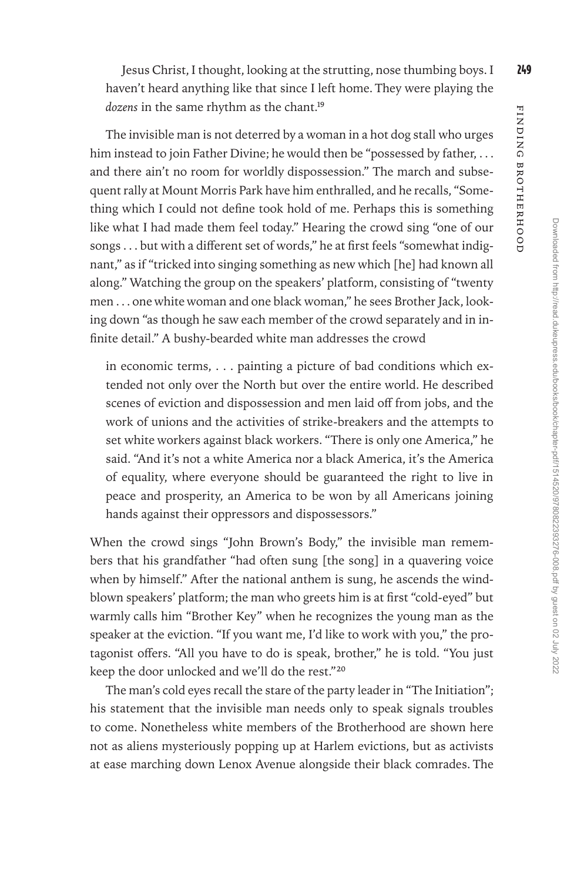Jesus Christ, I thought, looking at the strutting, nose thumbing boys. I 249 haven't heard anything like that since I left home. They were playing the dozens in the same rhythm as the chant.<sup>19</sup>

The invisible man is not deterred by a woman in a hot dog stall who urges him instead to join Father Divine; he would then be "possessed by father, ... and there ain't no room for worldly dispossession." The march and subsequent rally at Mount Morris Park have him enthralled, and he recalls, "Something which I could not define took hold of me. Perhaps this is something like what I had made them feel today." Hearing the crowd sing "one of our songs . . . but with a different set of words," he at first feels "somewhat indignant," as if "tricked into singing something as new which [he] had known all along." Watching the group on the speakers' platform, consisting of "twenty men . . . one white woman and one black woman," he sees Brother Jack, looking down "as though he saw each member of the crowd separately and in infinite detail." A bushy-bearded white man addresses the crowd

in economic terms, . . . painting a picture of bad conditions which extended not only over the North but over the entire world. He described scenes of eviction and dispossession and men laid off from jobs, and the work of unions and the activities of strike-breakers and the attempts to set white workers against black workers. "There is only one America," he said. "And it's not a white America nor a black America, it's the America of equality, where everyone should be guaranteed the right to live in peace and prosperity, an America to be won by all Americans joining hands against their oppressors and dispossessors."

When the crowd sings "John Brown's Body," the invisible man remembers that his grandfather "had often sung [the song] in a quavering voice when by himself." After the national anthem is sung, he ascends the windblown speakers' platform; the man who greets him is at first "cold-eyed" but warmly calls him "Brother Key" when he recognizes the young man as the speaker at the eviction. "If you want me, I'd like to work with you," the protagonist offers. "All you have to do is speak, brother," he is told. "You just keep the door unlocked and we'll do the rest."20

The man's cold eyes recall the stare of the party leader in "The Initiation"; his statement that the invisible man needs only to speak signals troubles to come. Nonetheless white members of the Brotherhood are shown here not as aliens mysteriously popping up at Harlem evictions, but as activists at ease marching down Lenox Avenue alongside their black comrades. The

Finding Brotherhood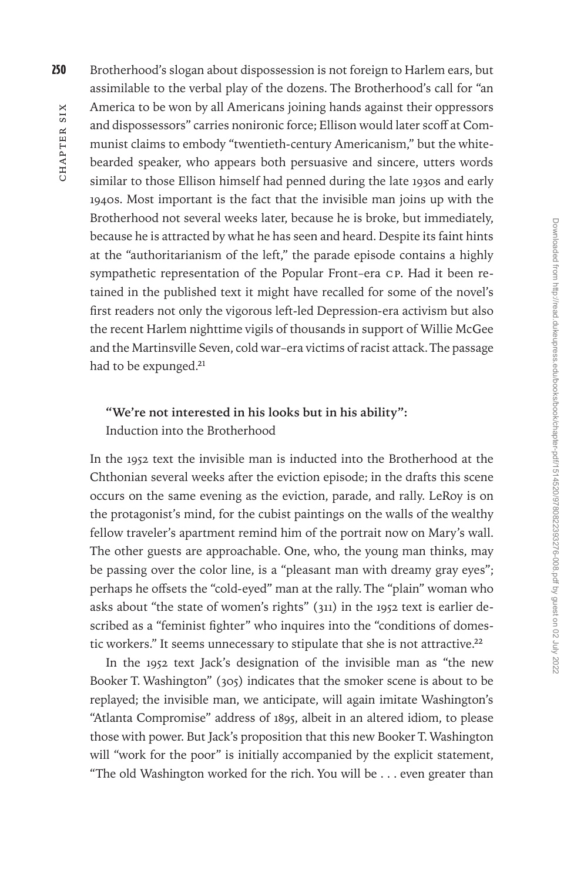250 Brotherhood's slogan about dispossession is not foreign to Harlem ears, but assimilable to the verbal play of the dozens. The Brotherhood's call for "an America to be won by all Americans joining hands against their oppressors and dispossessors" carries nonironic force; Ellison would later scoff at Communist claims to embody "twentieth-century Americanism," but the whitebearded speaker, who appears both persuasive and sincere, utters words similar to those Ellison himself had penned during the late 1930s and early 1940s. Most important is the fact that the invisible man joins up with the Brotherhood not several weeks later, because he is broke, but immediately, because he is attracted by what he has seen and heard. Despite its faint hints at the "authoritarianism of the left," the parade episode contains a highly sympathetic representation of the Popular Front–era CP. Had it been retained in the published text it might have recalled for some of the novel's first readers not only the vigorous left-led Depression-era activism but also the recent Harlem nighttime vigils of thousands in support of Willie McGee and the Martinsville Seven, cold war–era victims of racist attack. The passage had to be expunged.<sup>21</sup>

# **"We're not interested in his looks but in his ability":**

Induction into the Brotherhood

In the 1952 text the invisible man is inducted into the Brotherhood at the Chthonian several weeks after the eviction episode; in the drafts this scene occurs on the same evening as the eviction, parade, and rally. LeRoy is on the protagonist's mind, for the cubist paintings on the walls of the wealthy fellow traveler's apartment remind him of the portrait now on Mary's wall. The other guests are approachable. One, who, the young man thinks, may be passing over the color line, is a "pleasant man with dreamy gray eyes"; perhaps he offsets the "cold-eyed" man at the rally. The "plain" woman who asks about "the state of women's rights" (311) in the 1952 text is earlier described as a "feminist fighter" who inquires into the "conditions of domestic workers." It seems unnecessary to stipulate that she is not attractive.<sup>22</sup>

In the 1952 text Jack's designation of the invisible man as "the new Booker T. Washington" (305) indicates that the smoker scene is about to be replayed; the invisible man, we anticipate, will again imitate Washington's "Atlanta Compromise" address of 1895, albeit in an altered idiom, to please those with power. But Jack's proposition that this new Booker T. Washington will "work for the poor" is initially accompanied by the explicit statement, "The old Washington worked for the rich. You will be . . . even greater than

CHAPTER SIX hapter Six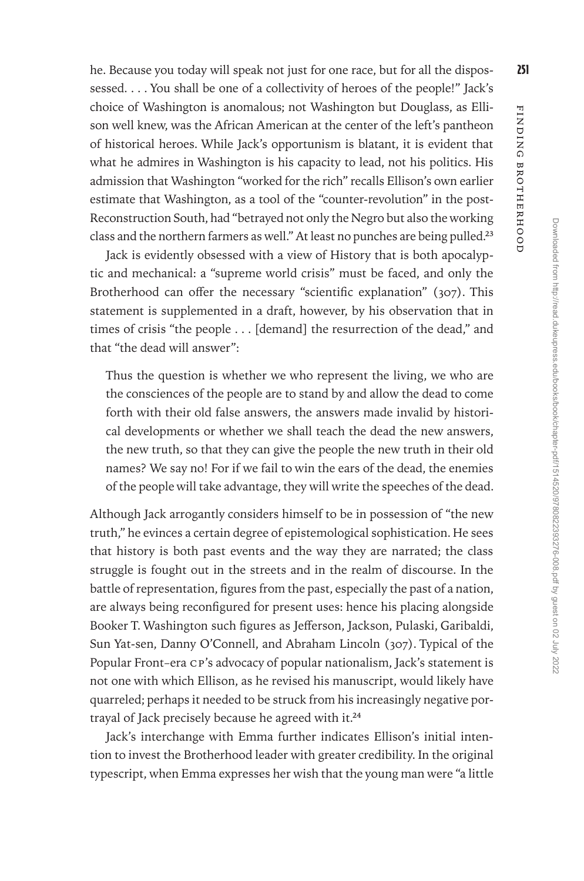he. Because you today will speak not just for one race, but for all the dispossessed. . . . You shall be one of a collectivity of heroes of the people!" Jack's choice of Washington is anomalous; not Washington but Douglass, as Ellison well knew, was the African American at the center of the left's pantheon of historical heroes. While Jack's opportunism is blatant, it is evident that what he admires in Washington is his capacity to lead, not his politics. His admission that Washington "worked for the rich" recalls Ellison's own earlier estimate that Washington, as a tool of the "counter-revolution" in the post-Reconstruction South, had "betrayed not only the Negro but also the working class and the northern farmers as well." At least no punches are being pulled.<sup>23</sup>

Jack is evidently obsessed with a view of History that is both apocalyptic and mechanical: a "supreme world crisis" must be faced, and only the Brotherhood can offer the necessary "scientific explanation" (307). This statement is supplemented in a draft, however, by his observation that in times of crisis "the people . . . [demand] the resurrection of the dead," and that "the dead will answer":

Thus the question is whether we who represent the living, we who are the consciences of the people are to stand by and allow the dead to come forth with their old false answers, the answers made invalid by historical developments or whether we shall teach the dead the new answers, the new truth, so that they can give the people the new truth in their old names? We say no! For if we fail to win the ears of the dead, the enemies of the people will take advantage, they will write the speeches of the dead.

Although Jack arrogantly considers himself to be in possession of "the new truth," he evinces a certain degree of epistemological sophistication. He sees that history is both past events and the way they are narrated; the class struggle is fought out in the streets and in the realm of discourse. In the battle of representation, figures from the past, especially the past of a nation, are always being reconfigured for present uses: hence his placing alongside Booker T. Washington such figures as Jefferson, Jackson, Pulaski, Garibaldi, Sun Yat-sen, Danny O'Connell, and Abraham Lincoln (307). Typical of the Popular Front–era CP's advocacy of popular nationalism, Jack's statement is not one with which Ellison, as he revised his manuscript, would likely have quarreled; perhaps it needed to be struck from his increasingly negative portrayal of Jack precisely because he agreed with it.24

Jack's interchange with Emma further indicates Ellison's initial intention to invest the Brotherhood leader with greater credibility. In the original typescript, when Emma expresses her wish that the young man were "a little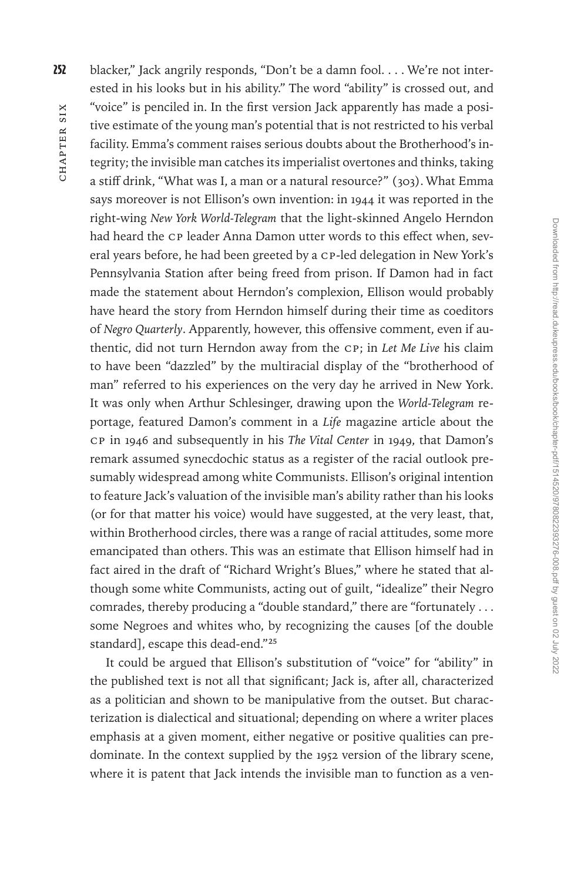252 blacker," Jack angrily responds, "Don't be a damn fool. . . . We're not interested in his looks but in his ability." The word "ability" is crossed out, and "voice" is penciled in. In the first version Jack apparently has made a positive estimate of the young man's potential that is not restricted to his verbal facility. Emma's comment raises serious doubts about the Brotherhood's integrity; the invisible man catches its imperialist overtones and thinks, taking a stiff drink, "What was I, a man or a natural resource?" (303). What Emma says moreover is not Ellison's own invention: in 1944 it was reported in the right-wing *New York World-Telegram* that the light-skinned Angelo Herndon had heard the CP leader Anna Damon utter words to this effect when, several years before, he had been greeted by a CP-led delegation in New York's Pennsylvania Station after being freed from prison. If Damon had in fact made the statement about Herndon's complexion, Ellison would probably have heard the story from Herndon himself during their time as coeditors of *Negro Quarterly*. Apparently, however, this offensive comment, even if authentic, did not turn Herndon away from the CP; in *Let Me Live* his claim to have been "dazzled" by the multiracial display of the "brotherhood of man" referred to his experiences on the very day he arrived in New York. It was only when Arthur Schlesinger, drawing upon the *World-Telegram* reportage, featured Damon's comment in a *Life* magazine article about the CP in 1946 and subsequently in his *The Vital Center* in 1949, that Damon's remark assumed synecdochic status as a register of the racial outlook presumably widespread among white Communists. Ellison's original intention to feature Jack's valuation of the invisible man's ability rather than his looks (or for that matter his voice) would have suggested, at the very least, that, within Brotherhood circles, there was a range of racial attitudes, some more emancipated than others. This was an estimate that Ellison himself had in fact aired in the draft of "Richard Wright's Blues," where he stated that although some white Communists, acting out of guilt, "idealize" their Negro comrades, thereby producing a "double standard," there are "fortunately . . . some Negroes and whites who, by recognizing the causes [of the double standard], escape this dead-end."25

It could be argued that Ellison's substitution of "voice" for "ability" in the published text is not all that significant; Jack is, after all, characterized as a politician and shown to be manipulative from the outset. But characterization is dialectical and situational; depending on where a writer places emphasis at a given moment, either negative or positive qualities can predominate. In the context supplied by the 1952 version of the library scene, where it is patent that Jack intends the invisible man to function as a ven-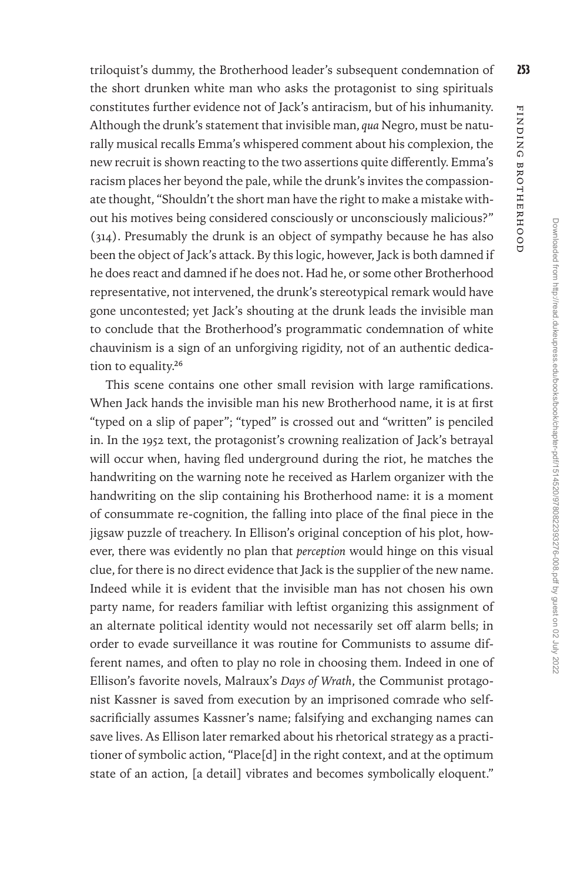FINDING BROTHERHOOD Finding Brotherhood

triloquist's dummy, the Brotherhood leader's subsequent condemnation of 253 the short drunken white man who asks the protagonist to sing spirituals constitutes further evidence not of Jack's antiracism, but of his inhumanity. Although the drunk's statement that invisible man, *qua* Negro, must be naturally musical recalls Emma's whispered comment about his complexion, the new recruit is shown reacting to the two assertions quite differently. Emma's racism places her beyond the pale, while the drunk's invites the compassionate thought, "Shouldn't the short man have the right to make a mistake without his motives being considered consciously or unconsciously malicious?" (314). Presumably the drunk is an object of sympathy because he has also been the object of Jack's attack. By this logic, however, Jack is both damned if he does react and damned if he does not. Had he, or some other Brotherhood representative, not intervened, the drunk's stereotypical remark would have gone uncontested; yet Jack's shouting at the drunk leads the invisible man to conclude that the Brotherhood's programmatic condemnation of white chauvinism is a sign of an unforgiving rigidity, not of an authentic dedication to equality.<sup>26</sup>

This scene contains one other small revision with large ramifications. When Jack hands the invisible man his new Brotherhood name, it is at first "typed on a slip of paper"; "typed" is crossed out and "written" is penciled in. In the 1952 text, the protagonist's crowning realization of Jack's betrayal will occur when, having fled underground during the riot, he matches the handwriting on the warning note he received as Harlem organizer with the handwriting on the slip containing his Brotherhood name: it is a moment of consummate re-cognition, the falling into place of the final piece in the jigsaw puzzle of treachery. In Ellison's original conception of his plot, however, there was evidently no plan that *perception* would hinge on this visual clue, for there is no direct evidence that Jack is the supplier of the new name. Indeed while it is evident that the invisible man has not chosen his own party name, for readers familiar with leftist organizing this assignment of an alternate political identity would not necessarily set off alarm bells; in order to evade surveillance it was routine for Communists to assume different names, and often to play no role in choosing them. Indeed in one of Ellison's favorite novels, Malraux's *Days of Wrath*, the Communist protagonist Kassner is saved from execution by an imprisoned comrade who selfsacrificially assumes Kassner's name; falsifying and exchanging names can save lives. As Ellison later remarked about his rhetorical strategy as a practitioner of symbolic action, "Place[d] in the right context, and at the optimum state of an action, [a detail] vibrates and becomes symbolically eloquent."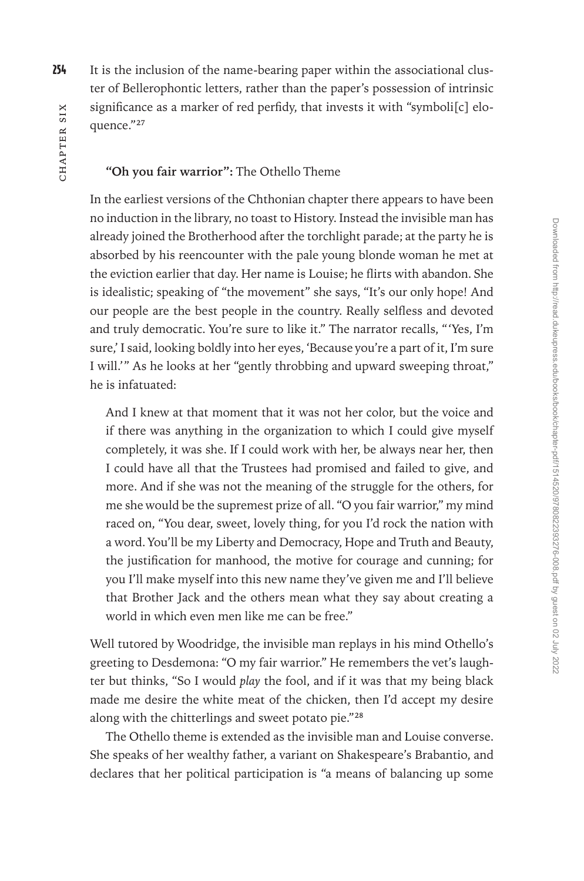254 It is the inclusion of the name-bearing paper within the associational cluster of Bellerophontic letters, rather than the paper's possession of intrinsic significance as a marker of red perfidy, that invests it with "symboli[c] eloquence."27

#### **"Oh you fair warrior":** The Othello Theme

In the earliest versions of the Chthonian chapter there appears to have been no induction in the library, no toast to History. Instead the invisible man has already joined the Brotherhood after the torchlight parade; at the party he is absorbed by his reencounter with the pale young blonde woman he met at the eviction earlier that day. Her name is Louise; he flirts with abandon. She is idealistic; speaking of "the movement" she says, "It's our only hope! And our people are the best people in the country. Really selfless and devoted and truly democratic. You're sure to like it." The narrator recalls, "'Yes, I'm sure,' I said, looking boldly into her eyes, 'Because you're a part of it, I'm sure I will.'" As he looks at her "gently throbbing and upward sweeping throat," he is infatuated:

And I knew at that moment that it was not her color, but the voice and if there was anything in the organization to which I could give myself completely, it was she. If I could work with her, be always near her, then I could have all that the Trustees had promised and failed to give, and more. And if she was not the meaning of the struggle for the others, for me she would be the supremest prize of all. "O you fair warrior," my mind raced on, "You dear, sweet, lovely thing, for you I'd rock the nation with a word. You'll be my Liberty and Democracy, Hope and Truth and Beauty, the justification for manhood, the motive for courage and cunning; for you I'll make myself into this new name they've given me and I'll believe that Brother Jack and the others mean what they say about creating a world in which even men like me can be free."

Well tutored by Woodridge, the invisible man replays in his mind Othello's greeting to Desdemona: "O my fair warrior." He remembers the vet's laughter but thinks, "So I would *play* the fool, and if it was that my being black made me desire the white meat of the chicken, then I'd accept my desire along with the chitterlings and sweet potato pie."28

The Othello theme is extended as the invisible man and Louise converse. She speaks of her wealthy father, a variant on Shakespeare's Brabantio, and declares that her political participation is "a means of balancing up some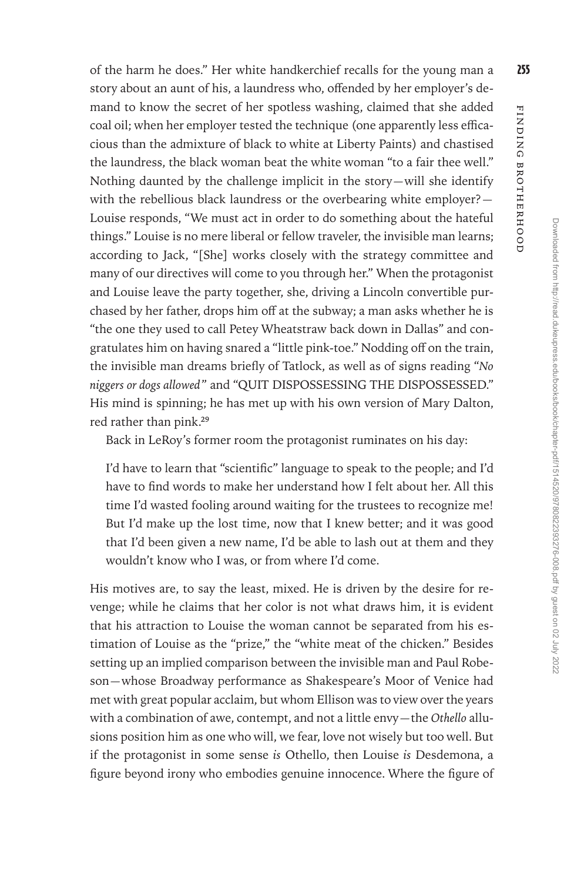of the harm he does." Her white handkerchief recalls for the young man a 255 story about an aunt of his, a laundress who, offended by her employer's demand to know the secret of her spotless washing, claimed that she added coal oil; when her employer tested the technique (one apparently less efficacious than the admixture of black to white at Liberty Paints) and chastised the laundress, the black woman beat the white woman "to a fair thee well." Nothing daunted by the challenge implicit in the story—will she identify with the rebellious black laundress or the overbearing white employer?— Louise responds, "We must act in order to do something about the hateful things." Louise is no mere liberal or fellow traveler, the invisible man learns; according to Jack, "[She] works closely with the strategy committee and many of our directives will come to you through her." When the protagonist and Louise leave the party together, she, driving a Lincoln convertible purchased by her father, drops him off at the subway; a man asks whether he is "the one they used to call Petey Wheatstraw back down in Dallas" and congratulates him on having snared a "little pink-toe." Nodding off on the train, the invisible man dreams briefly of Tatlock, as well as of signs reading "*No niggers or dogs allowed*" and "QUIT DISPOSSESSING THE DISPOSSESSED." His mind is spinning; he has met up with his own version of Mary Dalton, red rather than pink.29

Back in LeRoy's former room the protagonist ruminates on his day:

I'd have to learn that "scientific" language to speak to the people; and I'd have to find words to make her understand how I felt about her. All this time I'd wasted fooling around waiting for the trustees to recognize me! But I'd make up the lost time, now that I knew better; and it was good that I'd been given a new name, I'd be able to lash out at them and they wouldn't know who I was, or from where I'd come.

His motives are, to say the least, mixed. He is driven by the desire for revenge; while he claims that her color is not what draws him, it is evident that his attraction to Louise the woman cannot be separated from his estimation of Louise as the "prize," the "white meat of the chicken." Besides setting up an implied comparison between the invisible man and Paul Robeson—whose Broadway performance as Shakespeare's Moor of Venice had met with great popular acclaim, but whom Ellison was to view over the years with a combination of awe, contempt, and not a little envy—the *Othello* allusions position him as one who will, we fear, love not wisely but too well. But if the protagonist in some sense *is* Othello, then Louise *is* Desdemona, a figure beyond irony who embodies genuine innocence. Where the figure of Finding Brotherhood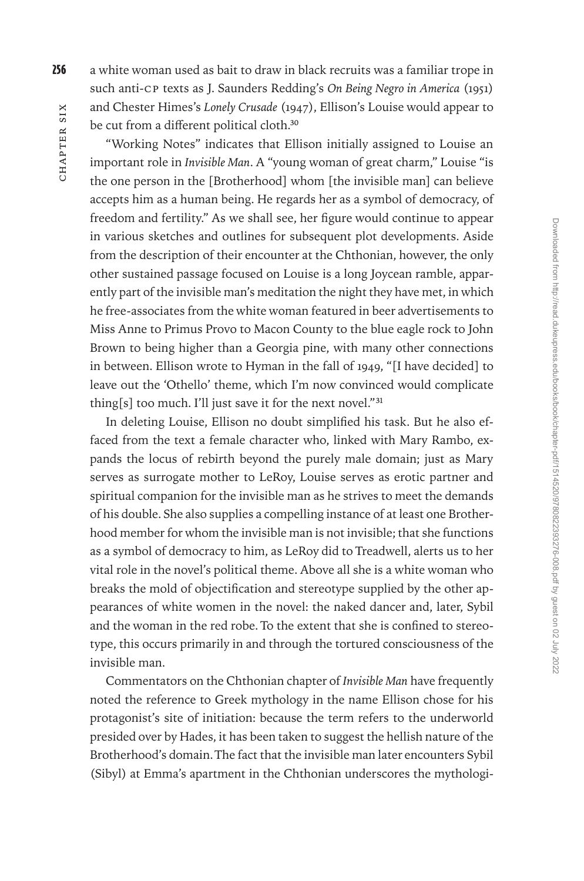256 a white woman used as bait to draw in black recruits was a familiar trope in such anti-CP texts as J. Saunders Redding's *On Being Negro in America* (1951) and Chester Himes's *Lonely Crusade* (1947), Ellison's Louise would appear to be cut from a different political cloth.<sup>30</sup>

"Working Notes" indicates that Ellison initially assigned to Louise an important role in *Invisible Man*. A "young woman of great charm," Louise "is the one person in the [Brotherhood] whom [the invisible man] can believe accepts him as a human being. He regards her as a symbol of democracy, of freedom and fertility." As we shall see, her figure would continue to appear in various sketches and outlines for subsequent plot developments. Aside from the description of their encounter at the Chthonian, however, the only other sustained passage focused on Louise is a long Joycean ramble, apparently part of the invisible man's meditation the night they have met, in which he free-associates from the white woman featured in beer advertisements to Miss Anne to Primus Provo to Macon County to the blue eagle rock to John Brown to being higher than a Georgia pine, with many other connections in between. Ellison wrote to Hyman in the fall of 1949, "[I have decided] to leave out the 'Othello' theme, which I'm now convinced would complicate thing[s] too much. I'll just save it for the next novel."<sup>31</sup>

In deleting Louise, Ellison no doubt simplified his task. But he also effaced from the text a female character who, linked with Mary Rambo, expands the locus of rebirth beyond the purely male domain; just as Mary serves as surrogate mother to LeRoy, Louise serves as erotic partner and spiritual companion for the invisible man as he strives to meet the demands of his double. She also supplies a compelling instance of at least one Brotherhood member for whom the invisible man is not invisible; that she functions as a symbol of democracy to him, as LeRoy did to Treadwell, alerts us to her vital role in the novel's political theme. Above all she is a white woman who breaks the mold of objectification and stereotype supplied by the other appearances of white women in the novel: the naked dancer and, later, Sybil and the woman in the red robe. To the extent that she is confined to stereotype, this occurs primarily in and through the tortured consciousness of the invisible man.

Commentators on the Chthonian chapter of *Invisible Man* have frequently noted the reference to Greek mythology in the name Ellison chose for his protagonist's site of initiation: because the term refers to the underworld presided over by Hades, it has been taken to suggest the hellish nature of the Brotherhood's domain. The fact that the invisible man later encounters Sybil (Sibyl) at Emma's apartment in the Chthonian underscores the mythologi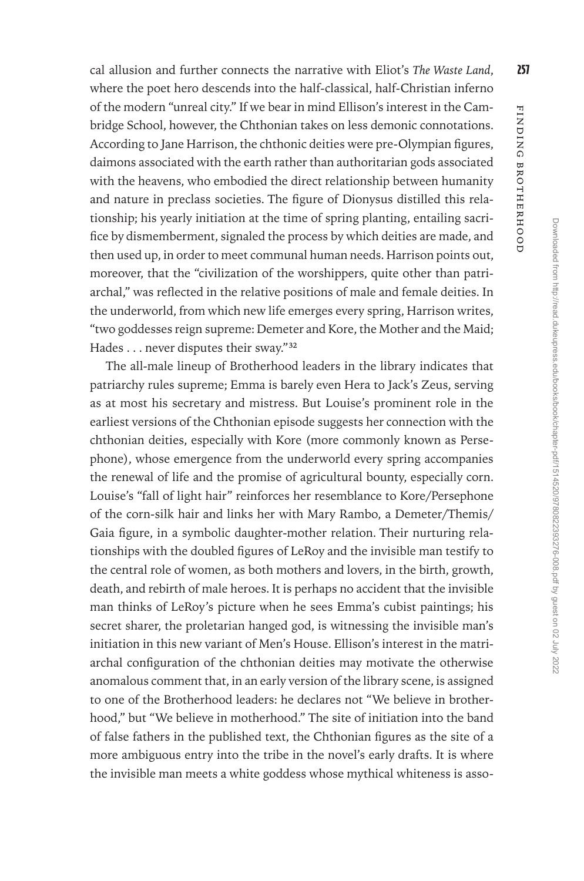cal allusion and further connects the narrative with Eliot's *The Waste Land*, 257 where the poet hero descends into the half-classical, half-Christian inferno of the modern "unreal city." If we bear in mind Ellison's interest in the Cambridge School, however, the Chthonian takes on less demonic connotations. According to Jane Harrison, the chthonic deities were pre-Olympian figures, daimons associated with the earth rather than authoritarian gods associated with the heavens, who embodied the direct relationship between humanity and nature in preclass societies. The figure of Dionysus distilled this relationship; his yearly initiation at the time of spring planting, entailing sacrifice by dismemberment, signaled the process by which deities are made, and then used up, in order to meet communal human needs. Harrison points out, moreover, that the "civilization of the worshippers, quite other than patriarchal," was reflected in the relative positions of male and female deities. In the underworld, from which new life emerges every spring, Harrison writes, "two goddesses reign supreme: Demeter and Kore, the Mother and the Maid; Hades . . . never disputes their sway."32

The all-male lineup of Brotherhood leaders in the library indicates that patriarchy rules supreme; Emma is barely even Hera to Jack's Zeus, serving as at most his secretary and mistress. But Louise's prominent role in the earliest versions of the Chthonian episode suggests her connection with the chthonian deities, especially with Kore (more commonly known as Persephone), whose emergence from the underworld every spring accompanies the renewal of life and the promise of agricultural bounty, especially corn. Louise's "fall of light hair" reinforces her resemblance to Kore/Persephone of the corn-silk hair and links her with Mary Rambo, a Demeter/Themis/ Gaia figure, in a symbolic daughter-mother relation. Their nurturing relationships with the doubled figures of LeRoy and the invisible man testify to the central role of women, as both mothers and lovers, in the birth, growth, death, and rebirth of male heroes. It is perhaps no accident that the invisible man thinks of LeRoy's picture when he sees Emma's cubist paintings; his secret sharer, the proletarian hanged god, is witnessing the invisible man's initiation in this new variant of Men's House. Ellison's interest in the matriarchal configuration of the chthonian deities may motivate the otherwise anomalous comment that, in an early version of the library scene, is assigned to one of the Brotherhood leaders: he declares not "We believe in brotherhood," but "We believe in motherhood." The site of initiation into the band of false fathers in the published text, the Chthonian figures as the site of a more ambiguous entry into the tribe in the novel's early drafts. It is where the invisible man meets a white goddess whose mythical whiteness is assoFinding Brotherhood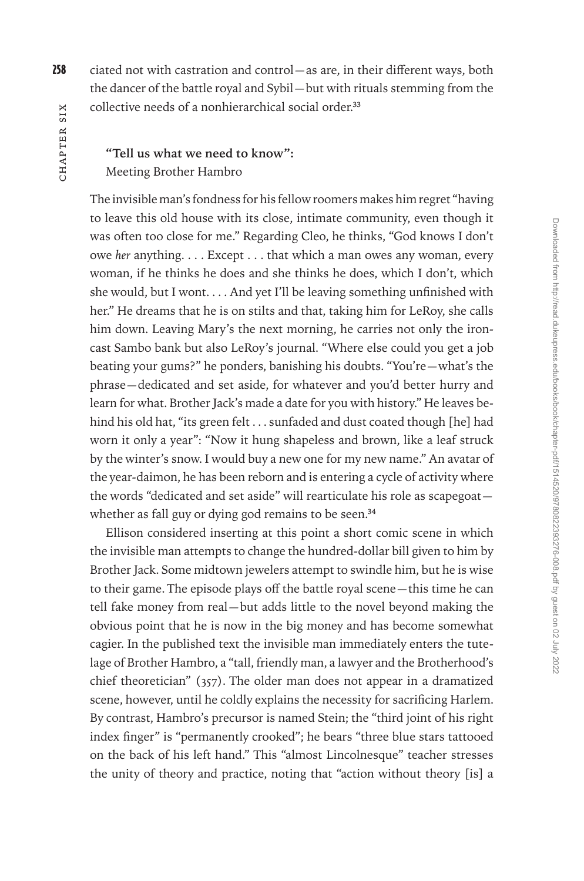258 ciated not with castration and control—as are, in their different ways, both the dancer of the battle royal and Sybil—but with rituals stemming from the collective needs of a nonhierarchical social order.<sup>33</sup>

## **"Tell us what we need to know":**  Meeting Brother Hambro

The invisible man's fondness for his fellow roomers makes him regret "having to leave this old house with its close, intimate community, even though it was often too close for me." Regarding Cleo, he thinks, "God knows I don't owe *her* anything. . . . Except . . . that which a man owes any woman, every woman, if he thinks he does and she thinks he does, which I don't, which she would, but I wont. . . . And yet I'll be leaving something unfinished with her." He dreams that he is on stilts and that, taking him for LeRoy, she calls him down. Leaving Mary's the next morning, he carries not only the ironcast Sambo bank but also LeRoy's journal. "Where else could you get a job beating your gums?" he ponders, banishing his doubts. "You're—what's the phrase—dedicated and set aside, for whatever and you'd better hurry and learn for what. Brother Jack's made a date for you with history." He leaves behind his old hat, "its green felt . . . sunfaded and dust coated though [he] had worn it only a year": "Now it hung shapeless and brown, like a leaf struck by the winter's snow. I would buy a new one for my new name." An avatar of the year-daimon, he has been reborn and is entering a cycle of activity where the words "dedicated and set aside" will rearticulate his role as scapegoat whether as fall guy or dying god remains to be seen.<sup>34</sup>

Ellison considered inserting at this point a short comic scene in which the invisible man attempts to change the hundred-dollar bill given to him by Brother Jack. Some midtown jewelers attempt to swindle him, but he is wise to their game. The episode plays off the battle royal scene—this time he can tell fake money from real—but adds little to the novel beyond making the obvious point that he is now in the big money and has become somewhat cagier. In the published text the invisible man immediately enters the tutelage of Brother Hambro, a "tall, friendly man, a lawyer and the Brotherhood's chief theoretician" (357). The older man does not appear in a dramatized scene, however, until he coldly explains the necessity for sacrificing Harlem. By contrast, Hambro's precursor is named Stein; the "third joint of his right index finger" is "permanently crooked"; he bears "three blue stars tattooed on the back of his left hand." This "almost Lincolnesque" teacher stresses the unity of theory and practice, noting that "action without theory [is] a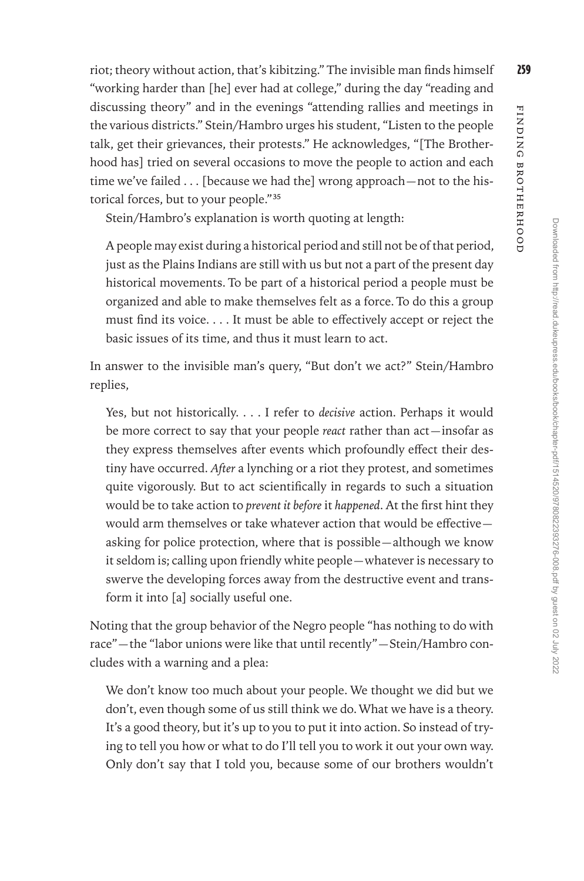riot; theory without action, that's kibitzing." The invisible man finds himself 259 "working harder than [he] ever had at college," during the day "reading and discussing theory" and in the evenings "attending rallies and meetings in the various districts." Stein/Hambro urges his student, "Listen to the people talk, get their grievances, their protests." He acknowledges, "[The Brotherhood has] tried on several occasions to move the people to action and each time we've failed . . . [because we had the] wrong approach—not to the his-

Stein/Hambro's explanation is worth quoting at length:

torical forces, but to your people."35

A people may exist during a historical period and still not be of that period, just as the Plains Indians are still with us but not a part of the present day historical movements. To be part of a historical period a people must be organized and able to make themselves felt as a force. To do this a group must find its voice. . . . It must be able to effectively accept or reject the basic issues of its time, and thus it must learn to act.

In answer to the invisible man's query, "But don't we act?" Stein/Hambro replies,

Yes, but not historically. . . . I refer to *decisive* action. Perhaps it would be more correct to say that your people *react* rather than act—insofar as they express themselves after events which profoundly effect their destiny have occurred. *After* a lynching or a riot they protest, and sometimes quite vigorously. But to act scientifically in regards to such a situation would be to take action to *prevent it before* it *happened*. At the first hint they would arm themselves or take whatever action that would be effective asking for police protection, where that is possible—although we know it seldom is; calling upon friendly white people—whatever is necessary to swerve the developing forces away from the destructive event and transform it into [a] socially useful one.

Noting that the group behavior of the Negro people "has nothing to do with race"—the "labor unions were like that until recently"—Stein/Hambro concludes with a warning and a plea:

We don't know too much about your people. We thought we did but we don't, even though some of us still think we do. What we have is a theory. It's a good theory, but it's up to you to put it into action. So instead of trying to tell you how or what to do I'll tell you to work it out your own way. Only don't say that I told you, because some of our brothers wouldn't

Finding Brotherhood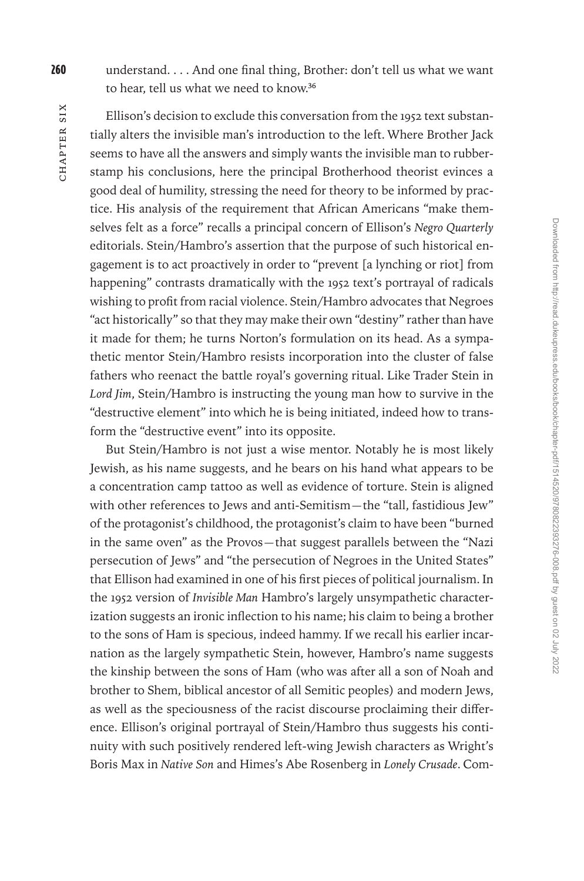260 understand. . . . And one final thing, Brother: don't tell us what we want to hear, tell us what we need to know.36

Ellison's decision to exclude this conversation from the 1952 text substantially alters the invisible man's introduction to the left. Where Brother Jack seems to have all the answers and simply wants the invisible man to rubberstamp his conclusions, here the principal Brotherhood theorist evinces a good deal of humility, stressing the need for theory to be informed by practice. His analysis of the requirement that African Americans "make themselves felt as a force" recalls a principal concern of Ellison's *Negro Quarterly* editorials. Stein/Hambro's assertion that the purpose of such historical engagement is to act proactively in order to "prevent [a lynching or riot] from happening" contrasts dramatically with the 1952 text's portrayal of radicals wishing to profit from racial violence. Stein/Hambro advocates that Negroes "act historically" so that they may make their own "destiny" rather than have it made for them; he turns Norton's formulation on its head. As a sympathetic mentor Stein/Hambro resists incorporation into the cluster of false fathers who reenact the battle royal's governing ritual. Like Trader Stein in *Lord Jim*, Stein/Hambro is instructing the young man how to survive in the "destructive element" into which he is being initiated, indeed how to transform the "destructive event" into its opposite.

But Stein/Hambro is not just a wise mentor. Notably he is most likely Jewish, as his name suggests, and he bears on his hand what appears to be a concentration camp tattoo as well as evidence of torture. Stein is aligned with other references to Jews and anti-Semitism—the "tall, fastidious Jew" of the protagonist's childhood, the protagonist's claim to have been "burned in the same oven" as the Provos—that suggest parallels between the "Nazi persecution of Jews" and "the persecution of Negroes in the United States" that Ellison had examined in one of his first pieces of political journalism. In the 1952 version of *Invisible Man* Hambro's largely unsympathetic characterization suggests an ironic inflection to his name; his claim to being a brother to the sons of Ham is specious, indeed hammy. If we recall his earlier incarnation as the largely sympathetic Stein, however, Hambro's name suggests the kinship between the sons of Ham (who was after all a son of Noah and brother to Shem, biblical ancestor of all Semitic peoples) and modern Jews, as well as the speciousness of the racist discourse proclaiming their difference. Ellison's original portrayal of Stein/Hambro thus suggests his continuity with such positively rendered left-wing Jewish characters as Wright's Boris Max in *Native Son* and Himes's Abe Rosenberg in *Lonely Crusade*. Com-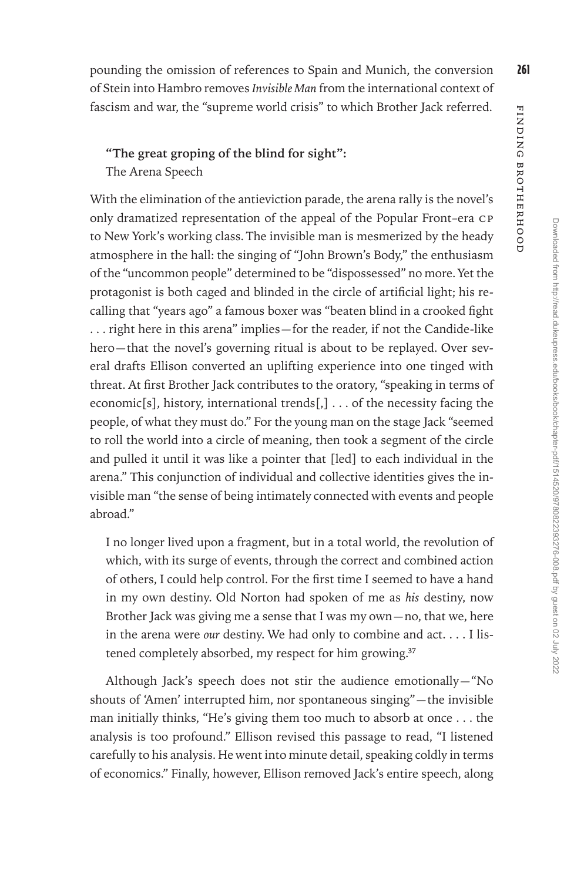## **"The great groping of the blind for sight":**  The Arena Speech

With the elimination of the antieviction parade, the arena rally is the novel's only dramatized representation of the appeal of the Popular Front–era CP to New York's working class. The invisible man is mesmerized by the heady atmosphere in the hall: the singing of "John Brown's Body," the enthusiasm of the "uncommon people" determined to be "dispossessed" no more. Yet the protagonist is both caged and blinded in the circle of artificial light; his recalling that "years ago" a famous boxer was "beaten blind in a crooked fight . . . right here in this arena" implies—for the reader, if not the Candide-like hero—that the novel's governing ritual is about to be replayed. Over several drafts Ellison converted an uplifting experience into one tinged with threat. At first Brother Jack contributes to the oratory, "speaking in terms of economic[s], history, international trends[,]  $\dots$  of the necessity facing the people, of what they must do." For the young man on the stage Jack "seemed to roll the world into a circle of meaning, then took a segment of the circle and pulled it until it was like a pointer that [led] to each individual in the arena." This conjunction of individual and collective identities gives the invisible man "the sense of being intimately connected with events and people abroad."

fascism and war, the "supreme world crisis" to which Brother Jack referred.

I no longer lived upon a fragment, but in a total world, the revolution of which, with its surge of events, through the correct and combined action of others, I could help control. For the first time I seemed to have a hand in my own destiny. Old Norton had spoken of me as *his* destiny, now Brother Jack was giving me a sense that I was my own—no, that we, here in the arena were *our* destiny. We had only to combine and act. . . . I listened completely absorbed, my respect for him growing.<sup>37</sup>

Although Jack's speech does not stir the audience emotionally—"No shouts of 'Amen' interrupted him, nor spontaneous singing"—the invisible man initially thinks, "He's giving them too much to absorb at once . . . the analysis is too profound." Ellison revised this passage to read, "I listened carefully to his analysis. He went into minute detail, speaking coldly in terms of economics." Finally, however, Ellison removed Jack's entire speech, along Finding Brotherhood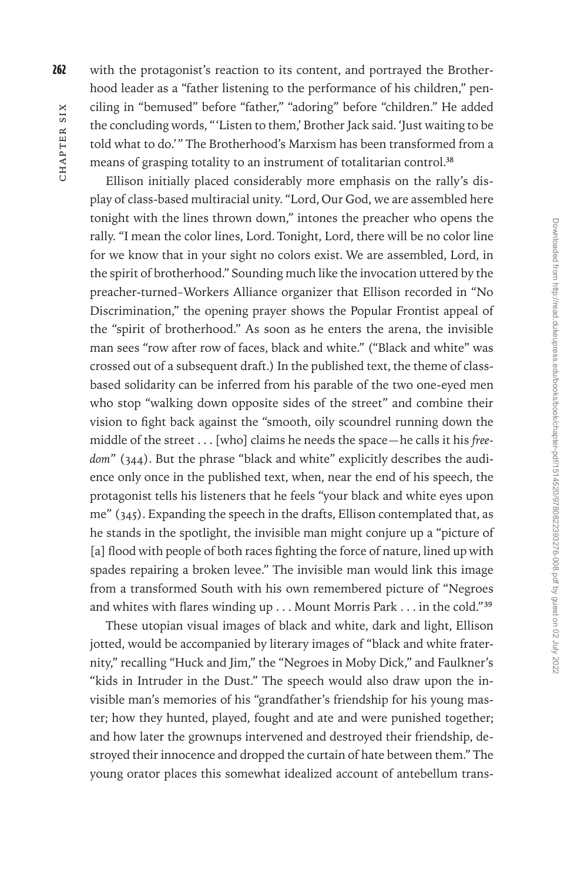262 with the protagonist's reaction to its content, and portrayed the Brotherhood leader as a "father listening to the performance of his children," penciling in "bemused" before "father," "adoring" before "children." He added the concluding words, "'Listen to them,' Brother Jack said. 'Just waiting to be told what to do.'" The Brotherhood's Marxism has been transformed from a means of grasping totality to an instrument of totalitarian control.<sup>38</sup>

Ellison initially placed considerably more emphasis on the rally's display of class-based multiracial unity. "Lord, Our God, we are assembled here tonight with the lines thrown down," intones the preacher who opens the rally. "I mean the color lines, Lord. Tonight, Lord, there will be no color line for we know that in your sight no colors exist. We are assembled, Lord, in the spirit of brotherhood." Sounding much like the invocation uttered by the preacher-turned–Workers Alliance organizer that Ellison recorded in "No Discrimination," the opening prayer shows the Popular Frontist appeal of the "spirit of brotherhood." As soon as he enters the arena, the invisible man sees "row after row of faces, black and white." ("Black and white" was crossed out of a subsequent draft.) In the published text, the theme of classbased solidarity can be inferred from his parable of the two one-eyed men who stop "walking down opposite sides of the street" and combine their vision to fight back against the "smooth, oily scoundrel running down the middle of the street . . . [who] claims he needs the space—he calls it his *freedom*" (344). But the phrase "black and white" explicitly describes the audience only once in the published text, when, near the end of his speech, the protagonist tells his listeners that he feels "your black and white eyes upon me" (345). Expanding the speech in the drafts, Ellison contemplated that, as he stands in the spotlight, the invisible man might conjure up a "picture of [a] flood with people of both races fighting the force of nature, lined up with spades repairing a broken levee." The invisible man would link this image from a transformed South with his own remembered picture of "Negroes and whites with flares winding up . . . Mount Morris Park . . . in the cold."39

These utopian visual images of black and white, dark and light, Ellison jotted, would be accompanied by literary images of "black and white fraternity," recalling "Huck and Jim," the "Negroes in Moby Dick," and Faulkner's "kids in Intruder in the Dust." The speech would also draw upon the invisible man's memories of his "grandfather's friendship for his young master; how they hunted, played, fought and ate and were punished together; and how later the grownups intervened and destroyed their friendship, destroyed their innocence and dropped the curtain of hate between them." The young orator places this somewhat idealized account of antebellum trans-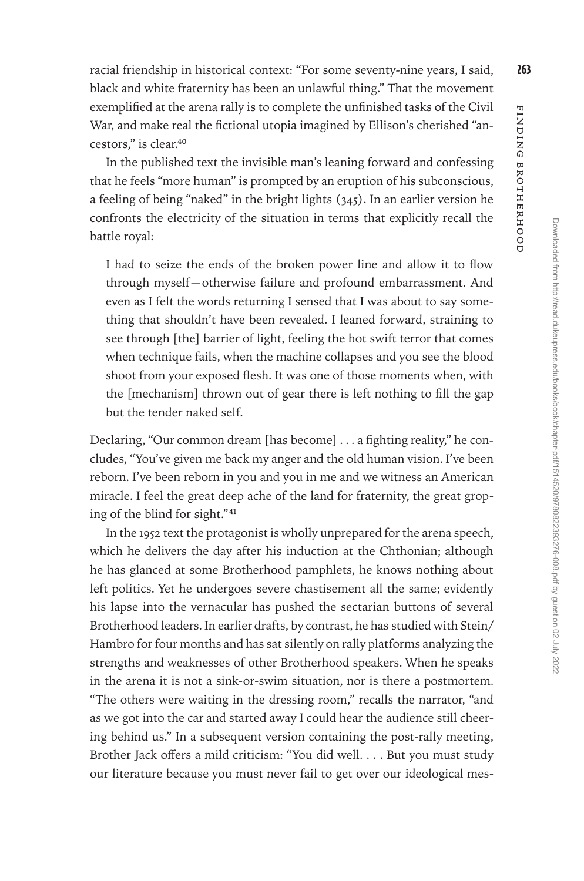Finding Brotherhood

FINDING BROTHERHOOD

racial friendship in historical context: "For some seventy-nine years, I said, 263 black and white fraternity has been an unlawful thing." That the movement exemplified at the arena rally is to complete the unfinished tasks of the Civil War, and make real the fictional utopia imagined by Ellison's cherished "ancestors," is clear.40

In the published text the invisible man's leaning forward and confessing that he feels "more human" is prompted by an eruption of his subconscious, a feeling of being "naked" in the bright lights (345). In an earlier version he confronts the electricity of the situation in terms that explicitly recall the battle royal:

I had to seize the ends of the broken power line and allow it to flow through myself—otherwise failure and profound embarrassment. And even as I felt the words returning I sensed that I was about to say something that shouldn't have been revealed. I leaned forward, straining to see through [the] barrier of light, feeling the hot swift terror that comes when technique fails, when the machine collapses and you see the blood shoot from your exposed flesh. It was one of those moments when, with the [mechanism] thrown out of gear there is left nothing to fill the gap but the tender naked self.

Declaring, "Our common dream [has become] . . . a fighting reality," he concludes, "You've given me back my anger and the old human vision. I've been reborn. I've been reborn in you and you in me and we witness an American miracle. I feel the great deep ache of the land for fraternity, the great groping of the blind for sight."41

In the 1952 text the protagonist is wholly unprepared for the arena speech, which he delivers the day after his induction at the Chthonian; although he has glanced at some Brotherhood pamphlets, he knows nothing about left politics. Yet he undergoes severe chastisement all the same; evidently his lapse into the vernacular has pushed the sectarian buttons of several Brotherhood leaders. In earlier drafts, by contrast, he has studied with Stein/ Hambro for four months and has sat silently on rally platforms analyzing the strengths and weaknesses of other Brotherhood speakers. When he speaks in the arena it is not a sink-or-swim situation, nor is there a postmortem. "The others were waiting in the dressing room," recalls the narrator, "and as we got into the car and started away I could hear the audience still cheering behind us." In a subsequent version containing the post-rally meeting, Brother Jack offers a mild criticism: "You did well. . . . But you must study our literature because you must never fail to get over our ideological mes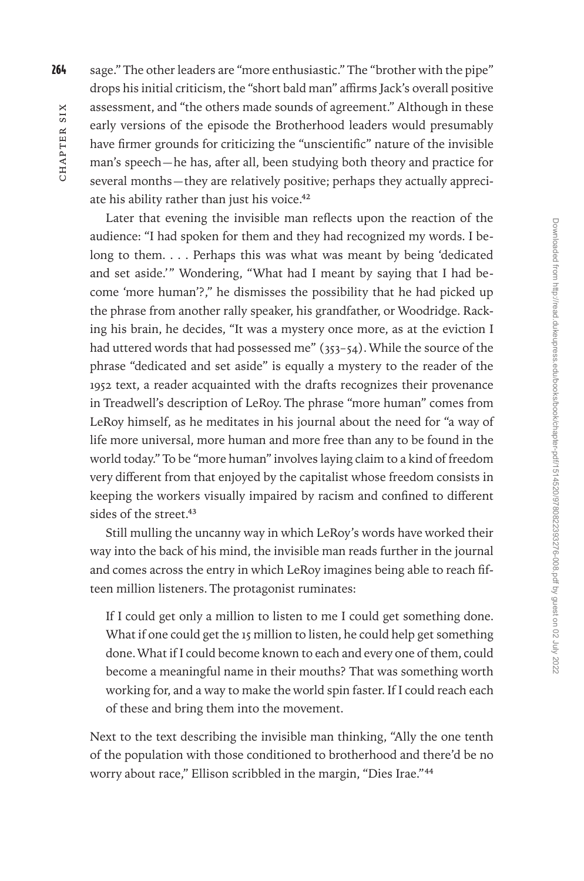264 sage." The other leaders are "more enthusiastic." The "brother with the pipe" drops his initial criticism, the "short bald man" affirms Jack's overall positive assessment, and "the others made sounds of agreement." Although in these early versions of the episode the Brotherhood leaders would presumably have firmer grounds for criticizing the "unscientific" nature of the invisible man's speech—he has, after all, been studying both theory and practice for several months—they are relatively positive; perhaps they actually appreciate his ability rather than just his voice.<sup>42</sup>

Later that evening the invisible man reflects upon the reaction of the audience: "I had spoken for them and they had recognized my words. I belong to them. . . . Perhaps this was what was meant by being 'dedicated and set aside.'" Wondering, "What had I meant by saying that I had become 'more human'?," he dismisses the possibility that he had picked up the phrase from another rally speaker, his grandfather, or Woodridge. Racking his brain, he decides, "It was a mystery once more, as at the eviction I had uttered words that had possessed me" (353–54). While the source of the phrase "dedicated and set aside" is equally a mystery to the reader of the 1952 text, a reader acquainted with the drafts recognizes their provenance in Treadwell's description of LeRoy. The phrase "more human" comes from LeRoy himself, as he meditates in his journal about the need for "a way of life more universal, more human and more free than any to be found in the world today." To be "more human" involves laying claim to a kind of freedom very different from that enjoyed by the capitalist whose freedom consists in keeping the workers visually impaired by racism and confined to different sides of the street.<sup>43</sup>

Still mulling the uncanny way in which LeRoy's words have worked their way into the back of his mind, the invisible man reads further in the journal and comes across the entry in which LeRoy imagines being able to reach fifteen million listeners. The protagonist ruminates:

If I could get only a million to listen to me I could get something done. What if one could get the 15 million to listen, he could help get something done. What if I could become known to each and every one of them, could become a meaningful name in their mouths? That was something worth working for, and a way to make the world spin faster. If I could reach each of these and bring them into the movement.

Next to the text describing the invisible man thinking, "Ally the one tenth of the population with those conditioned to brotherhood and there'd be no worry about race," Ellison scribbled in the margin, "Dies Irae."44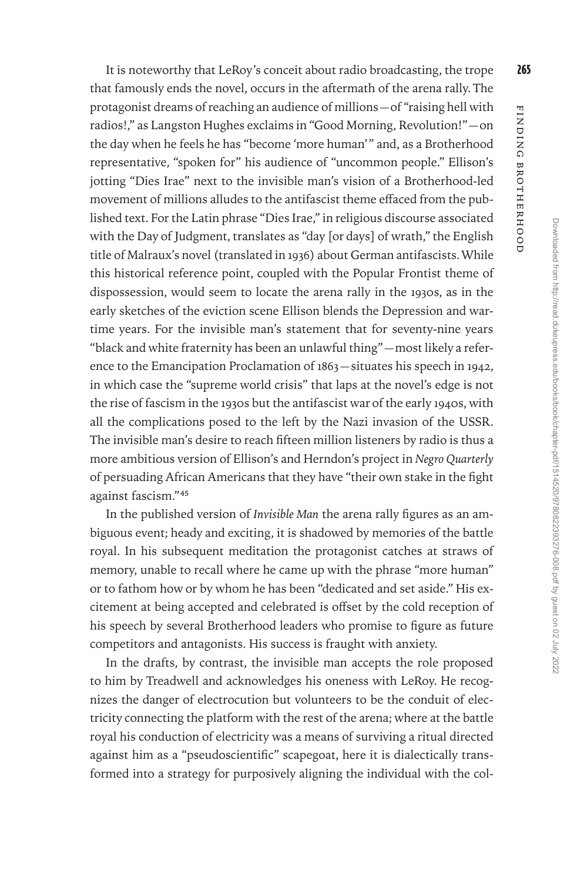It is noteworthy that LeRoy's conceit about radio broadcasting, the trope 265 that famously ends the novel, occurs in the aftermath of the arena rally. The protagonist dreams of reaching an audience of millions—of "raising hell with radios!," as Langston Hughes exclaims in "Good Morning, Revolution!"—on the day when he feels he has "become 'more human'" and, as a Brotherhood representative, "spoken for" his audience of "uncommon people." Ellison's jotting "Dies Irae" next to the invisible man's vision of a Brotherhood-led movement of millions alludes to the antifascist theme effaced from the published text. For the Latin phrase "Dies Irae," in religious discourse associated with the Day of Judgment, translates as "day [or days] of wrath," the English title of Malraux's novel (translated in 1936) about German antifascists. While this historical reference point, coupled with the Popular Frontist theme of dispossession, would seem to locate the arena rally in the 1930s, as in the early sketches of the eviction scene Ellison blends the Depression and wartime years. For the invisible man's statement that for seventy-nine years "black and white fraternity has been an unlawful thing"—most likely a reference to the Emancipation Proclamation of 1863—situates his speech in 1942, in which case the "supreme world crisis" that laps at the novel's edge is not the rise of fascism in the 1930s but the antifascist war of the early 1940s, with all the complications posed to the left by the Nazi invasion of the USSR. The invisible man's desire to reach fifteen million listeners by radio is thus a more ambitious version of Ellison's and Herndon's project in *Negro Quarterly* of persuading African Americans that they have "their own stake in the fight against fascism."45

In the published version of *Invisible Man* the arena rally figures as an ambiguous event; heady and exciting, it is shadowed by memories of the battle royal. In his subsequent meditation the protagonist catches at straws of memory, unable to recall where he came up with the phrase "more human" or to fathom how or by whom he has been "dedicated and set aside." His excitement at being accepted and celebrated is offset by the cold reception of his speech by several Brotherhood leaders who promise to figure as future competitors and antagonists. His success is fraught with anxiety.

In the drafts, by contrast, the invisible man accepts the role proposed to him by Treadwell and acknowledges his oneness with LeRoy. He recognizes the danger of electrocution but volunteers to be the conduit of electricity connecting the platform with the rest of the arena; where at the battle royal his conduction of electricity was a means of surviving a ritual directed against him as a "pseudoscientific" scapegoat, here it is dialectically transformed into a strategy for purposively aligning the individual with the colFinding Brotherhood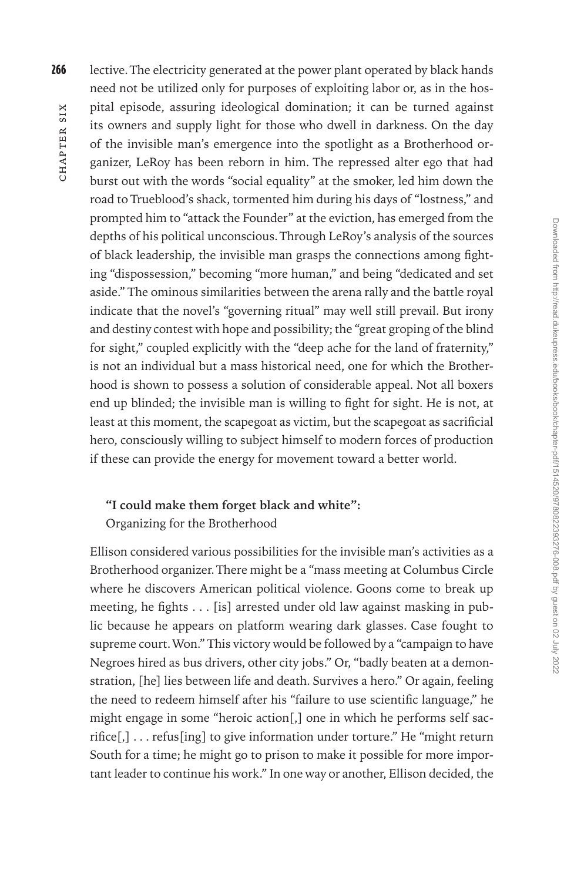266 lective. The electricity generated at the power plant operated by black hands need not be utilized only for purposes of exploiting labor or, as in the hospital episode, assuring ideological domination; it can be turned against its owners and supply light for those who dwell in darkness. On the day of the invisible man's emergence into the spotlight as a Brotherhood organizer, LeRoy has been reborn in him. The repressed alter ego that had burst out with the words "social equality" at the smoker, led him down the road to Trueblood's shack, tormented him during his days of "lostness," and prompted him to "attack the Founder" at the eviction, has emerged from the depths of his political unconscious. Through LeRoy's analysis of the sources of black leadership, the invisible man grasps the connections among fighting "dispossession," becoming "more human," and being "dedicated and set aside." The ominous similarities between the arena rally and the battle royal indicate that the novel's "governing ritual" may well still prevail. But irony and destiny contest with hope and possibility; the "great groping of the blind for sight," coupled explicitly with the "deep ache for the land of fraternity," is not an individual but a mass historical need, one for which the Brotherhood is shown to possess a solution of considerable appeal. Not all boxers end up blinded; the invisible man is willing to fight for sight. He is not, at least at this moment, the scapegoat as victim, but the scapegoat as sacrificial hero, consciously willing to subject himself to modern forces of production if these can provide the energy for movement toward a better world.

## **"I could make them forget black and white":**  Organizing for the Brotherhood

Ellison considered various possibilities for the invisible man's activities as a Brotherhood organizer. There might be a "mass meeting at Columbus Circle where he discovers American political violence. Goons come to break up meeting, he fights . . . [is] arrested under old law against masking in public because he appears on platform wearing dark glasses. Case fought to supreme court. Won." This victory would be followed by a "campaign to have Negroes hired as bus drivers, other city jobs." Or, "badly beaten at a demonstration, [he] lies between life and death. Survives a hero." Or again, feeling the need to redeem himself after his "failure to use scientific language," he might engage in some "heroic action[,] one in which he performs self sacrifice[,] . . . refus[ing] to give information under torture." He "might return South for a time; he might go to prison to make it possible for more important leader to continue his work." In one way or another, Ellison decided, the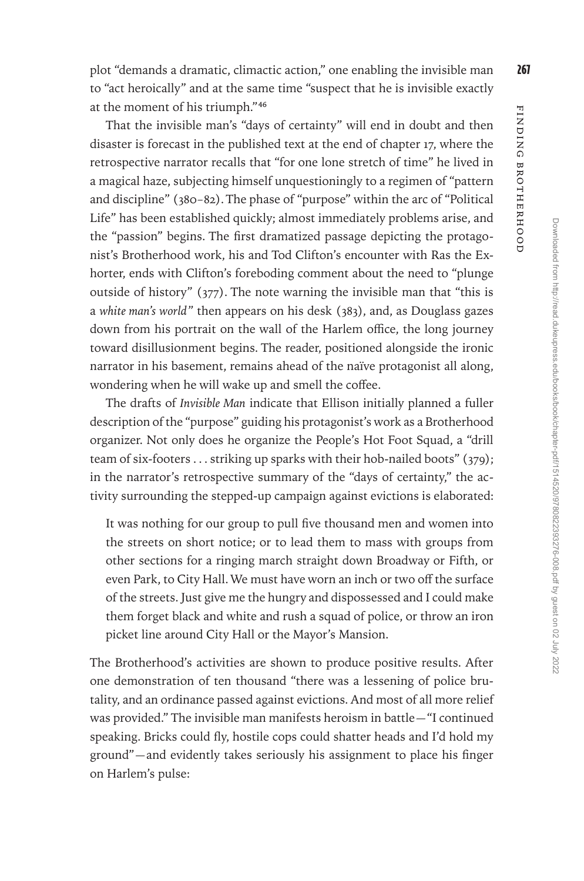plot "demands a dramatic, climactic action," one enabling the invisible man 267 to "act heroically" and at the same time "suspect that he is invisible exactly at the moment of his triumph."46

That the invisible man's "days of certainty" will end in doubt and then disaster is forecast in the published text at the end of chapter 17, where the retrospective narrator recalls that "for one lone stretch of time" he lived in a magical haze, subjecting himself unquestioningly to a regimen of "pattern and discipline" (380–82). The phase of "purpose" within the arc of "Political Life" has been established quickly; almost immediately problems arise, and the "passion" begins. The first dramatized passage depicting the protagonist's Brotherhood work, his and Tod Clifton's encounter with Ras the Exhorter, ends with Clifton's foreboding comment about the need to "plunge outside of history" (377). The note warning the invisible man that "this is a *white man's world*" then appears on his desk (383), and, as Douglass gazes down from his portrait on the wall of the Harlem office, the long journey toward disillusionment begins. The reader, positioned alongside the ironic narrator in his basement, remains ahead of the naïve protagonist all along, wondering when he will wake up and smell the coffee.

The drafts of *Invisible Man* indicate that Ellison initially planned a fuller description of the "purpose" guiding his protagonist's work as a Brotherhood organizer. Not only does he organize the People's Hot Foot Squad, a "drill team of six-footers . . . striking up sparks with their hob-nailed boots" (379); in the narrator's retrospective summary of the "days of certainty," the activity surrounding the stepped-up campaign against evictions is elaborated:

It was nothing for our group to pull five thousand men and women into the streets on short notice; or to lead them to mass with groups from other sections for a ringing march straight down Broadway or Fifth, or even Park, to City Hall. We must have worn an inch or two off the surface of the streets. Just give me the hungry and dispossessed and I could make them forget black and white and rush a squad of police, or throw an iron picket line around City Hall or the Mayor's Mansion.

The Brotherhood's activities are shown to produce positive results. After one demonstration of ten thousand "there was a lessening of police brutality, and an ordinance passed against evictions. And most of all more relief was provided." The invisible man manifests heroism in battle—"I continued speaking. Bricks could fly, hostile cops could shatter heads and I'd hold my ground"—and evidently takes seriously his assignment to place his finger on Harlem's pulse:

Finding Brotherhood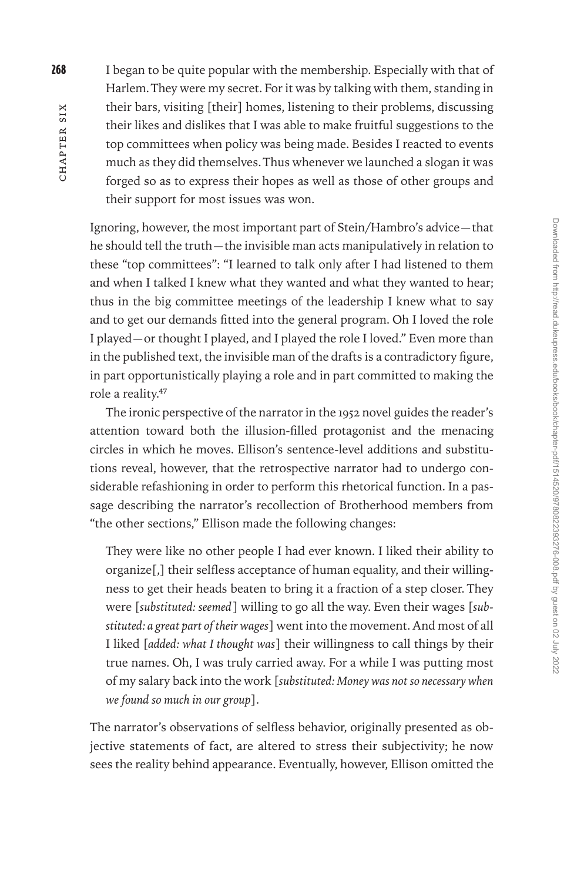268 I began to be quite popular with the membership. Especially with that of Harlem. They were my secret. For it was by talking with them, standing in their bars, visiting [their] homes, listening to their problems, discussing their likes and dislikes that I was able to make fruitful suggestions to the top committees when policy was being made. Besides I reacted to events much as they did themselves. Thus whenever we launched a slogan it was forged so as to express their hopes as well as those of other groups and their support for most issues was won.

Ignoring, however, the most important part of Stein/Hambro's advice—that he should tell the truth—the invisible man acts manipulatively in relation to these "top committees": "I learned to talk only after I had listened to them and when I talked I knew what they wanted and what they wanted to hear; thus in the big committee meetings of the leadership I knew what to say and to get our demands fitted into the general program. Oh I loved the role I played—or thought I played, and I played the role I loved." Even more than in the published text, the invisible man of the drafts is a contradictory figure, in part opportunistically playing a role and in part committed to making the role a reality.47

The ironic perspective of the narrator in the 1952 novel guides the reader's attention toward both the illusion-filled protagonist and the menacing circles in which he moves. Ellison's sentence-level additions and substitutions reveal, however, that the retrospective narrator had to undergo considerable refashioning in order to perform this rhetorical function. In a passage describing the narrator's recollection of Brotherhood members from "the other sections," Ellison made the following changes:

They were like no other people I had ever known. I liked their ability to organize[,] their selfless acceptance of human equality, and their willingness to get their heads beaten to bring it a fraction of a step closer. They were [*substituted: seemed*] willing to go all the way. Even their wages [*substituted: a great part of their wages*] went into the movement. And most of all I liked [*added: what I thought was*] their willingness to call things by their true names. Oh, I was truly carried away. For a while I was putting most of my salary back into the work [*substituted: Money was not so necessary when we found so much in our group*].

The narrator's observations of selfless behavior, originally presented as objective statements of fact, are altered to stress their subjectivity; he now sees the reality behind appearance. Eventually, however, Ellison omitted the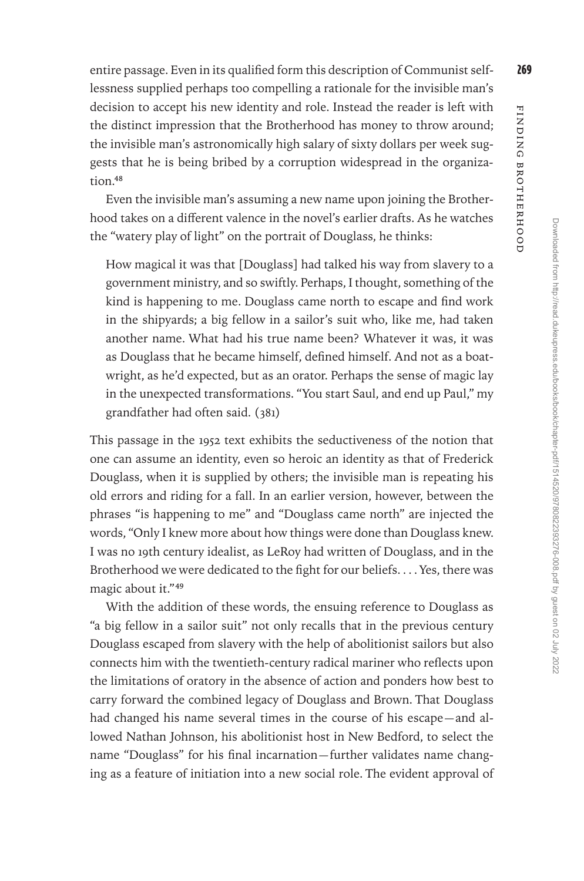entire passage. Even in its qualified form this description of Communist self- 269 lessness supplied perhaps too compelling a rationale for the invisible man's decision to accept his new identity and role. Instead the reader is left with the distinct impression that the Brotherhood has money to throw around; the invisible man's astronomically high salary of sixty dollars per week suggests that he is being bribed by a corruption widespread in the organization.48

Even the invisible man's assuming a new name upon joining the Brotherhood takes on a different valence in the novel's earlier drafts. As he watches the "watery play of light" on the portrait of Douglass, he thinks:

How magical it was that [Douglass] had talked his way from slavery to a government ministry, and so swiftly. Perhaps, I thought, something of the kind is happening to me. Douglass came north to escape and find work in the shipyards; a big fellow in a sailor's suit who, like me, had taken another name. What had his true name been? Whatever it was, it was as Douglass that he became himself, defined himself. And not as a boatwright, as he'd expected, but as an orator. Perhaps the sense of magic lay in the unexpected transformations. "You start Saul, and end up Paul," my grandfather had often said. (381)

This passage in the 1952 text exhibits the seductiveness of the notion that one can assume an identity, even so heroic an identity as that of Frederick Douglass, when it is supplied by others; the invisible man is repeating his old errors and riding for a fall. In an earlier version, however, between the phrases "is happening to me" and "Douglass came north" are injected the words, "Only I knew more about how things were done than Douglass knew. I was no 19th century idealist, as LeRoy had written of Douglass, and in the Brotherhood we were dedicated to the fight for our beliefs. . . . Yes, there was magic about it."49

With the addition of these words, the ensuing reference to Douglass as "a big fellow in a sailor suit" not only recalls that in the previous century Douglass escaped from slavery with the help of abolitionist sailors but also connects him with the twentieth-century radical mariner who reflects upon the limitations of oratory in the absence of action and ponders how best to carry forward the combined legacy of Douglass and Brown. That Douglass had changed his name several times in the course of his escape—and allowed Nathan Johnson, his abolitionist host in New Bedford, to select the name "Douglass" for his final incarnation—further validates name changing as a feature of initiation into a new social role. The evident approval of Finding Brotherhood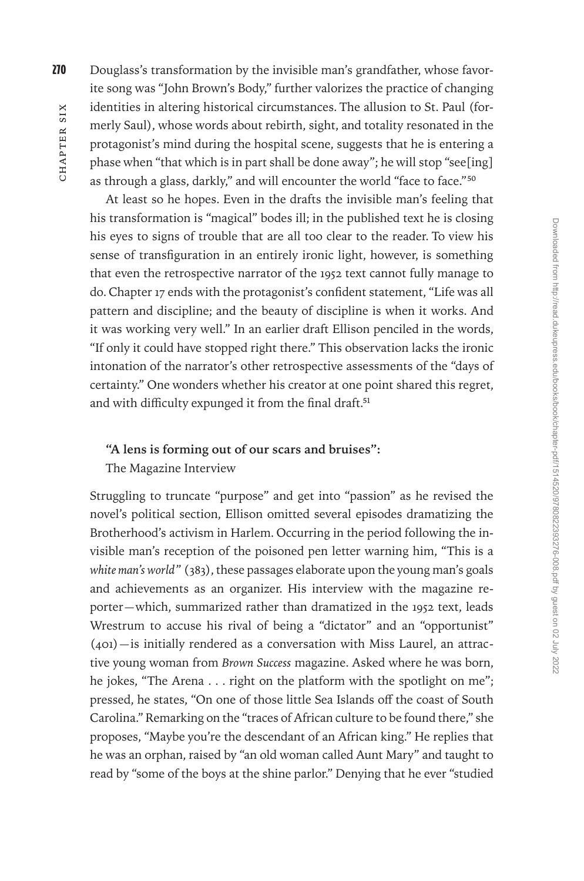270 Douglass's transformation by the invisible man's grandfather, whose favorite song was "John Brown's Body," further valorizes the practice of changing identities in altering historical circumstances. The allusion to St. Paul (formerly Saul), whose words about rebirth, sight, and totality resonated in the protagonist's mind during the hospital scene, suggests that he is entering a phase when "that which is in part shall be done away"; he will stop "see[ing] as through a glass, darkly," and will encounter the world "face to face."50

At least so he hopes. Even in the drafts the invisible man's feeling that his transformation is "magical" bodes ill; in the published text he is closing his eyes to signs of trouble that are all too clear to the reader. To view his sense of transfiguration in an entirely ironic light, however, is something that even the retrospective narrator of the 1952 text cannot fully manage to do. Chapter 17 ends with the protagonist's confident statement, "Life was all pattern and discipline; and the beauty of discipline is when it works. And it was working very well." In an earlier draft Ellison penciled in the words, "If only it could have stopped right there." This observation lacks the ironic intonation of the narrator's other retrospective assessments of the "days of certainty." One wonders whether his creator at one point shared this regret, and with difficulty expunged it from the final draft.<sup>51</sup>

### **"A lens is forming out of our scars and bruises":**

The Magazine Interview

Struggling to truncate "purpose" and get into "passion" as he revised the novel's political section, Ellison omitted several episodes dramatizing the Brotherhood's activism in Harlem. Occurring in the period following the invisible man's reception of the poisoned pen letter warning him, "This is a *white man's world*" (383), these passages elaborate upon the young man's goals and achievements as an organizer. His interview with the magazine reporter—which, summarized rather than dramatized in the 1952 text, leads Wrestrum to accuse his rival of being a "dictator" and an "opportunist"  $(401)$ —is initially rendered as a conversation with Miss Laurel, an attractive young woman from *Brown Success* magazine. Asked where he was born, he jokes, "The Arena . . . right on the platform with the spotlight on me"; pressed, he states, "On one of those little Sea Islands off the coast of South Carolina." Remarking on the "traces of African culture to be found there," she proposes, "Maybe you're the descendant of an African king." He replies that he was an orphan, raised by "an old woman called Aunt Mary" and taught to read by "some of the boys at the shine parlor." Denying that he ever "studied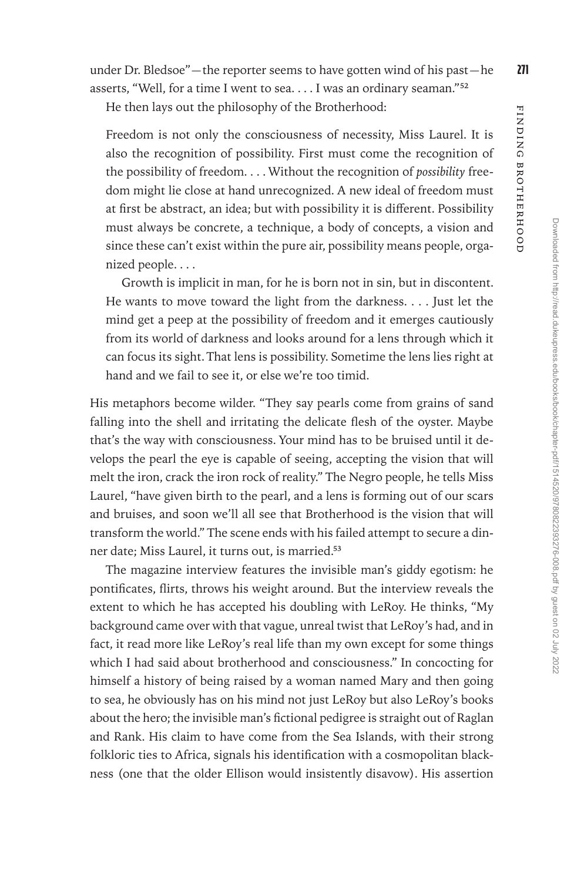Finding Brotherhood

FINDING BROTHERHOOD

under Dr. Bledsoe"—the reporter seems to have gotten wind of his past—he  $271$ asserts, "Well, for a time I went to sea. . . . I was an ordinary seaman."52

He then lays out the philosophy of the Brotherhood:

Freedom is not only the consciousness of necessity, Miss Laurel. It is also the recognition of possibility. First must come the recognition of the possibility of freedom. . . . Without the recognition of *possibility* freedom might lie close at hand unrecognized. A new ideal of freedom must at first be abstract, an idea; but with possibility it is different. Possibility must always be concrete, a technique, a body of concepts, a vision and since these can't exist within the pure air, possibility means people, organized people. . . .

Growth is implicit in man, for he is born not in sin, but in discontent. He wants to move toward the light from the darkness. . . . Just let the mind get a peep at the possibility of freedom and it emerges cautiously from its world of darkness and looks around for a lens through which it can focus its sight. That lens is possibility. Sometime the lens lies right at hand and we fail to see it, or else we're too timid.

His metaphors become wilder. "They say pearls come from grains of sand falling into the shell and irritating the delicate flesh of the oyster. Maybe that's the way with consciousness. Your mind has to be bruised until it develops the pearl the eye is capable of seeing, accepting the vision that will melt the iron, crack the iron rock of reality." The Negro people, he tells Miss Laurel, "have given birth to the pearl, and a lens is forming out of our scars and bruises, and soon we'll all see that Brotherhood is the vision that will transform the world." The scene ends with his failed attempt to secure a dinner date; Miss Laurel, it turns out, is married.53

The magazine interview features the invisible man's giddy egotism: he pontificates, flirts, throws his weight around. But the interview reveals the extent to which he has accepted his doubling with LeRoy. He thinks, "My background came over with that vague, unreal twist that LeRoy's had, and in fact, it read more like LeRoy's real life than my own except for some things which I had said about brotherhood and consciousness." In concocting for himself a history of being raised by a woman named Mary and then going to sea, he obviously has on his mind not just LeRoy but also LeRoy's books about the hero; the invisible man's fictional pedigree is straight out of Raglan and Rank. His claim to have come from the Sea Islands, with their strong folkloric ties to Africa, signals his identification with a cosmopolitan blackness (one that the older Ellison would insistently disavow). His assertion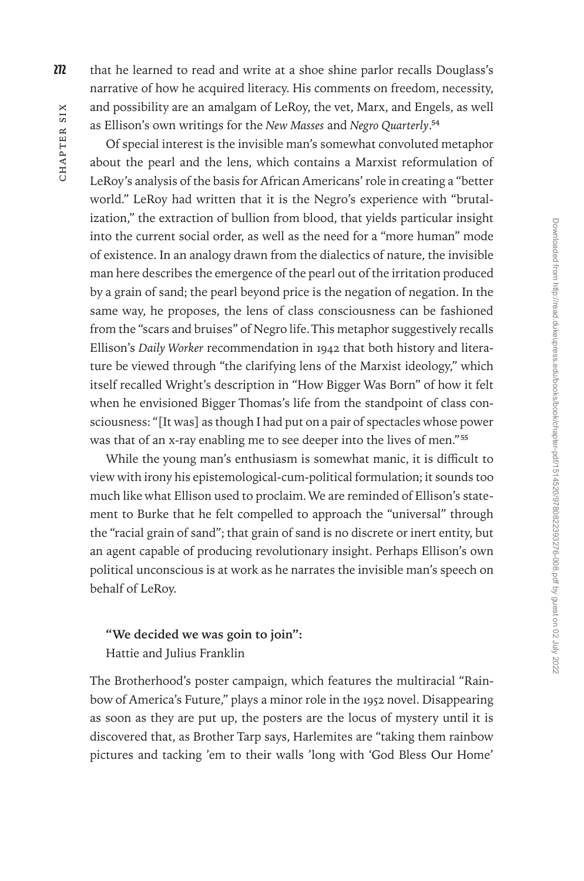272 that he learned to read and write at a shoe shine parlor recalls Douglass's narrative of how he acquired literacy. His comments on freedom, necessity, and possibility are an amalgam of LeRoy, the vet, Marx, and Engels, as well as Ellison's own writings for the *New Masses* and *Negro Quarterly*.54

Of special interest is the invisible man's somewhat convoluted metaphor about the pearl and the lens, which contains a Marxist reformulation of LeRoy's analysis of the basis for African Americans' role in creating a "better world." LeRoy had written that it is the Negro's experience with "brutalization," the extraction of bullion from blood, that yields particular insight into the current social order, as well as the need for a "more human" mode of existence. In an analogy drawn from the dialectics of nature, the invisible man here describes the emergence of the pearl out of the irritation produced by a grain of sand; the pearl beyond price is the negation of negation. In the same way, he proposes, the lens of class consciousness can be fashioned from the "scars and bruises" of Negro life. This metaphor suggestively recalls Ellison's *Daily Worker* recommendation in 1942 that both history and literature be viewed through "the clarifying lens of the Marxist ideology," which itself recalled Wright's description in "How Bigger Was Born" of how it felt when he envisioned Bigger Thomas's life from the standpoint of class consciousness: "[It was] as though I had put on a pair of spectacles whose power was that of an x-ray enabling me to see deeper into the lives of men."55

While the young man's enthusiasm is somewhat manic, it is difficult to view with irony his epistemological-cum-political formulation; it sounds too much like what Ellison used to proclaim. We are reminded of Ellison's statement to Burke that he felt compelled to approach the "universal" through the "racial grain of sand"; that grain of sand is no discrete or inert entity, but an agent capable of producing revolutionary insight. Perhaps Ellison's own political unconscious is at work as he narrates the invisible man's speech on behalf of LeRoy.

#### **"We decided we was goin to join":**

Hattie and Julius Franklin

The Brotherhood's poster campaign, which features the multiracial "Rainbow of America's Future," plays a minor role in the 1952 novel. Disappearing as soon as they are put up, the posters are the locus of mystery until it is discovered that, as Brother Tarp says, Harlemites are "taking them rainbow pictures and tacking 'em to their walls 'long with 'God Bless Our Home'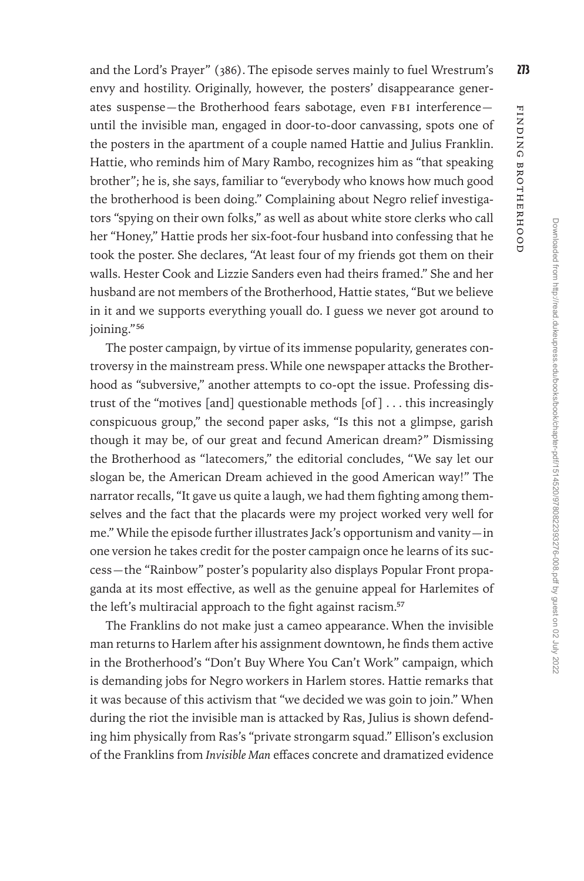and the Lord's Prayer" (386). The episode serves mainly to fuel Wrestrum's  $273$ envy and hostility. Originally, however, the posters' disappearance generates suspense—the Brotherhood fears sabotage, even FBI interference until the invisible man, engaged in door-to-door canvassing, spots one of the posters in the apartment of a couple named Hattie and Julius Franklin. Hattie, who reminds him of Mary Rambo, recognizes him as "that speaking brother"; he is, she says, familiar to "everybody who knows how much good the brotherhood is been doing." Complaining about Negro relief investigators "spying on their own folks," as well as about white store clerks who call her "Honey," Hattie prods her six-foot-four husband into confessing that he took the poster. She declares, "At least four of my friends got them on their walls. Hester Cook and Lizzie Sanders even had theirs framed." She and her husband are not members of the Brotherhood, Hattie states, "But we believe in it and we supports everything youall do. I guess we never got around to joining."56

The poster campaign, by virtue of its immense popularity, generates controversy in the mainstream press. While one newspaper attacks the Brotherhood as "subversive," another attempts to co-opt the issue. Professing distrust of the "motives [and] questionable methods [of ] . . . this increasingly conspicuous group," the second paper asks, "Is this not a glimpse, garish though it may be, of our great and fecund American dream?" Dismissing the Brotherhood as "latecomers," the editorial concludes, "We say let our slogan be, the American Dream achieved in the good American way!" The narrator recalls, "It gave us quite a laugh, we had them fighting among themselves and the fact that the placards were my project worked very well for me." While the episode further illustrates Jack's opportunism and vanity—in one version he takes credit for the poster campaign once he learns of its success—the "Rainbow" poster's popularity also displays Popular Front propaganda at its most effective, as well as the genuine appeal for Harlemites of the left's multiracial approach to the fight against racism.<sup>57</sup>

The Franklins do not make just a cameo appearance. When the invisible man returns to Harlem after his assignment downtown, he finds them active in the Brotherhood's "Don't Buy Where You Can't Work" campaign, which is demanding jobs for Negro workers in Harlem stores. Hattie remarks that it was because of this activism that "we decided we was goin to join." When during the riot the invisible man is attacked by Ras, Julius is shown defending him physically from Ras's "private strongarm squad." Ellison's exclusion of the Franklins from *Invisible Man* effaces concrete and dramatized evidence

Finding Brotherhood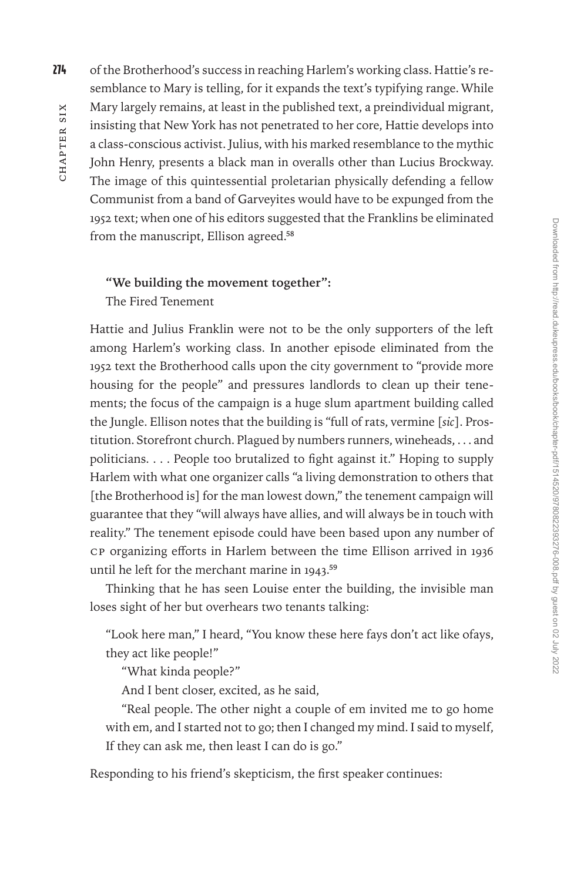274 of the Brotherhood's success in reaching Harlem's working class. Hattie's resemblance to Mary is telling, for it expands the text's typifying range. While Mary largely remains, at least in the published text, a preindividual migrant, insisting that New York has not penetrated to her core, Hattie develops into a class-conscious activist. Julius, with his marked resemblance to the mythic John Henry, presents a black man in overalls other than Lucius Brockway. The image of this quintessential proletarian physically defending a fellow Communist from a band of Garveyites would have to be expunged from the 1952 text; when one of his editors suggested that the Franklins be eliminated from the manuscript, Ellison agreed.58

## **"We building the movement together":**

The Fired Tenement

Hattie and Julius Franklin were not to be the only supporters of the left among Harlem's working class. In another episode eliminated from the 1952 text the Brotherhood calls upon the city government to "provide more housing for the people" and pressures landlords to clean up their tenements; the focus of the campaign is a huge slum apartment building called the Jungle. Ellison notes that the building is "full of rats, vermine [*sic*]. Prostitution. Storefront church. Plagued by numbers runners, wineheads, . . . and politicians. . . . People too brutalized to fight against it." Hoping to supply Harlem with what one organizer calls "a living demonstration to others that [the Brotherhood is] for the man lowest down," the tenement campaign will guarantee that they "will always have allies, and will always be in touch with reality." The tenement episode could have been based upon any number of CP organizing efforts in Harlem between the time Ellison arrived in 1936 until he left for the merchant marine in 1943.59

Thinking that he has seen Louise enter the building, the invisible man loses sight of her but overhears two tenants talking:

"Look here man," I heard, "You know these here fays don't act like ofays, they act like people!"

"What kinda people?"

And I bent closer, excited, as he said,

"Real people. The other night a couple of em invited me to go home with em, and I started not to go; then I changed my mind. I said to myself, If they can ask me, then least I can do is go."

Responding to his friend's skepticism, the first speaker continues: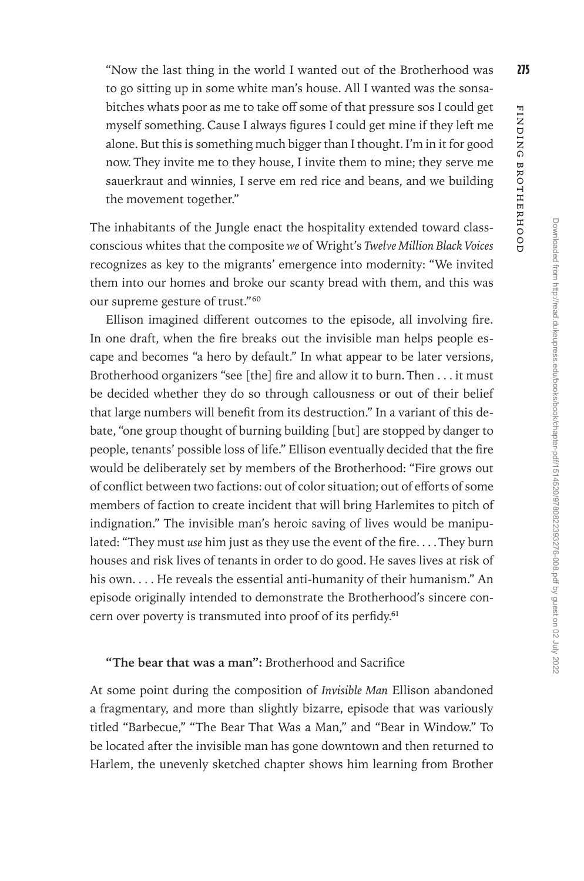Finding Brotherhood

FINDING BROTHERHOOD

to go sitting up in some white man's house. All I wanted was the sonsabitches whats poor as me to take off some of that pressure sos I could get myself something. Cause I always figures I could get mine if they left me alone. But this is something much bigger than I thought. I'm in it for good now. They invite me to they house, I invite them to mine; they serve me sauerkraut and winnies, I serve em red rice and beans, and we building the movement together."

The inhabitants of the Jungle enact the hospitality extended toward classconscious whites that the composite *we* of Wright's *Twelve Million Black Voices* recognizes as key to the migrants' emergence into modernity: "We invited them into our homes and broke our scanty bread with them, and this was our supreme gesture of trust."60

Ellison imagined different outcomes to the episode, all involving fire. In one draft, when the fire breaks out the invisible man helps people escape and becomes "a hero by default." In what appear to be later versions, Brotherhood organizers "see [the] fire and allow it to burn. Then . . . it must be decided whether they do so through callousness or out of their belief that large numbers will benefit from its destruction." In a variant of this debate, "one group thought of burning building [but] are stopped by danger to people, tenants' possible loss of life." Ellison eventually decided that the fire would be deliberately set by members of the Brotherhood: "Fire grows out of conflict between two factions: out of color situation; out of efforts of some members of faction to create incident that will bring Harlemites to pitch of indignation." The invisible man's heroic saving of lives would be manipulated: "They must *use* him just as they use the event of the fire. . . . They burn houses and risk lives of tenants in order to do good. He saves lives at risk of his own. . . . He reveals the essential anti-humanity of their humanism." An episode originally intended to demonstrate the Brotherhood's sincere concern over poverty is transmuted into proof of its perfidy.<sup>61</sup>

### **"The bear that was a man":** Brotherhood and Sacrifice

At some point during the composition of *Invisible Man* Ellison abandoned a fragmentary, and more than slightly bizarre, episode that was variously titled "Barbecue," "The Bear That Was a Man," and "Bear in Window." To be located after the invisible man has gone downtown and then returned to Harlem, the unevenly sketched chapter shows him learning from Brother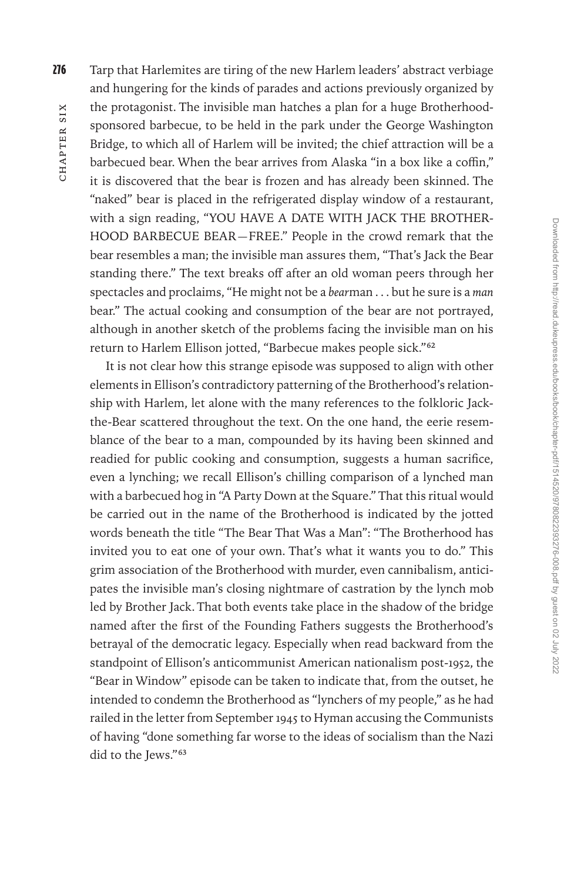CHAPTER SIX hapter Six

276 Tarp that Harlemites are tiring of the new Harlem leaders' abstract verbiage and hungering for the kinds of parades and actions previously organized by the protagonist. The invisible man hatches a plan for a huge Brotherhoodsponsored barbecue, to be held in the park under the George Washington Bridge, to which all of Harlem will be invited; the chief attraction will be a barbecued bear. When the bear arrives from Alaska "in a box like a coffin," it is discovered that the bear is frozen and has already been skinned. The "naked" bear is placed in the refrigerated display window of a restaurant, with a sign reading, "YOU HAVE A DATE WITH JACK THE BROTHER-HOOD BARBECUE BEAR—FREE." People in the crowd remark that the bear resembles a man; the invisible man assures them, "That's Jack the Bear standing there." The text breaks off after an old woman peers through her spectacles and proclaims, "He might not be a *bear*man . . . but he sure is a *man* bear." The actual cooking and consumption of the bear are not portrayed, although in another sketch of the problems facing the invisible man on his return to Harlem Ellison jotted, "Barbecue makes people sick."62

It is not clear how this strange episode was supposed to align with other elements in Ellison's contradictory patterning of the Brotherhood's relationship with Harlem, let alone with the many references to the folkloric Jackthe-Bear scattered throughout the text. On the one hand, the eerie resemblance of the bear to a man, compounded by its having been skinned and readied for public cooking and consumption, suggests a human sacrifice, even a lynching; we recall Ellison's chilling comparison of a lynched man with a barbecued hog in "A Party Down at the Square." That this ritual would be carried out in the name of the Brotherhood is indicated by the jotted words beneath the title "The Bear That Was a Man": "The Brotherhood has invited you to eat one of your own. That's what it wants you to do." This grim association of the Brotherhood with murder, even cannibalism, anticipates the invisible man's closing nightmare of castration by the lynch mob led by Brother Jack. That both events take place in the shadow of the bridge named after the first of the Founding Fathers suggests the Brotherhood's betrayal of the democratic legacy. Especially when read backward from the standpoint of Ellison's anticommunist American nationalism post-1952, the "Bear in Window" episode can be taken to indicate that, from the outset, he intended to condemn the Brotherhood as "lynchers of my people," as he had railed in the letter from September 1945 to Hyman accusing the Communists of having "done something far worse to the ideas of socialism than the Nazi did to the Jews."<sup>63</sup>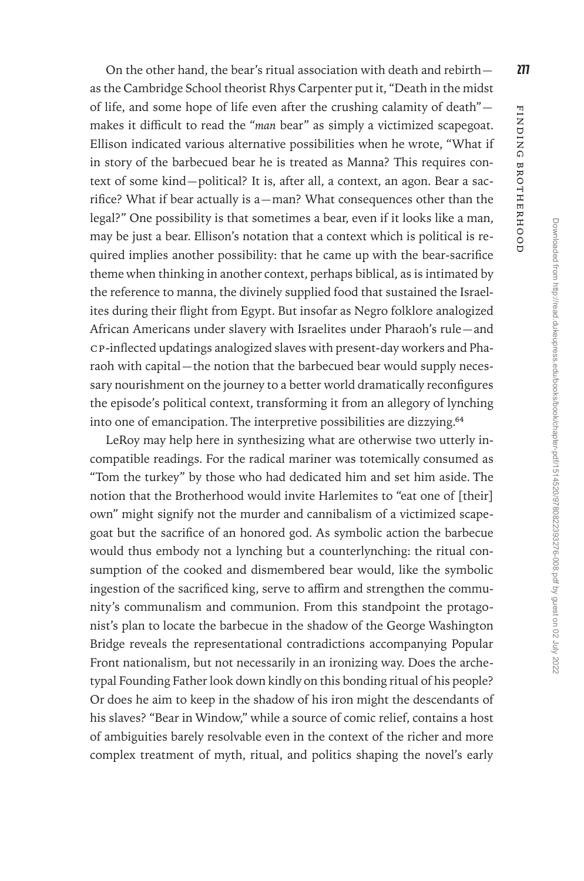On the other hand, the bear's ritual association with death and rebirth $\sim$  277 as the Cambridge School theorist Rhys Carpenter put it, "Death in the midst of life, and some hope of life even after the crushing calamity of death" makes it difficult to read the "*man* bear" as simply a victimized scapegoat. Ellison indicated various alternative possibilities when he wrote, "What if in story of the barbecued bear he is treated as Manna? This requires context of some kind—political? It is, after all, a context, an agon. Bear a sacrifice? What if bear actually is a—man? What consequences other than the legal?" One possibility is that sometimes a bear, even if it looks like a man, may be just a bear. Ellison's notation that a context which is political is required implies another possibility: that he came up with the bear-sacrifice theme when thinking in another context, perhaps biblical, as is intimated by the reference to manna, the divinely supplied food that sustained the Israelites during their flight from Egypt. But insofar as Negro folklore analogized African Americans under slavery with Israelites under Pharaoh's rule—and CP-inflected updatings analogized slaves with present-day workers and Pharaoh with capital—the notion that the barbecued bear would supply necessary nourishment on the journey to a better world dramatically reconfigures the episode's political context, transforming it from an allegory of lynching into one of emancipation. The interpretive possibilities are dizzying.64

LeRoy may help here in synthesizing what are otherwise two utterly incompatible readings. For the radical mariner was totemically consumed as "Tom the turkey" by those who had dedicated him and set him aside. The notion that the Brotherhood would invite Harlemites to "eat one of [their] own" might signify not the murder and cannibalism of a victimized scapegoat but the sacrifice of an honored god. As symbolic action the barbecue would thus embody not a lynching but a counterlynching: the ritual consumption of the cooked and dismembered bear would, like the symbolic ingestion of the sacrificed king, serve to affirm and strengthen the community's communalism and communion. From this standpoint the protagonist's plan to locate the barbecue in the shadow of the George Washington Bridge reveals the representational contradictions accompanying Popular Front nationalism, but not necessarily in an ironizing way. Does the archetypal Founding Father look down kindly on this bonding ritual of his people? Or does he aim to keep in the shadow of his iron might the descendants of his slaves? "Bear in Window," while a source of comic relief, contains a host of ambiguities barely resolvable even in the context of the richer and more complex treatment of myth, ritual, and politics shaping the novel's early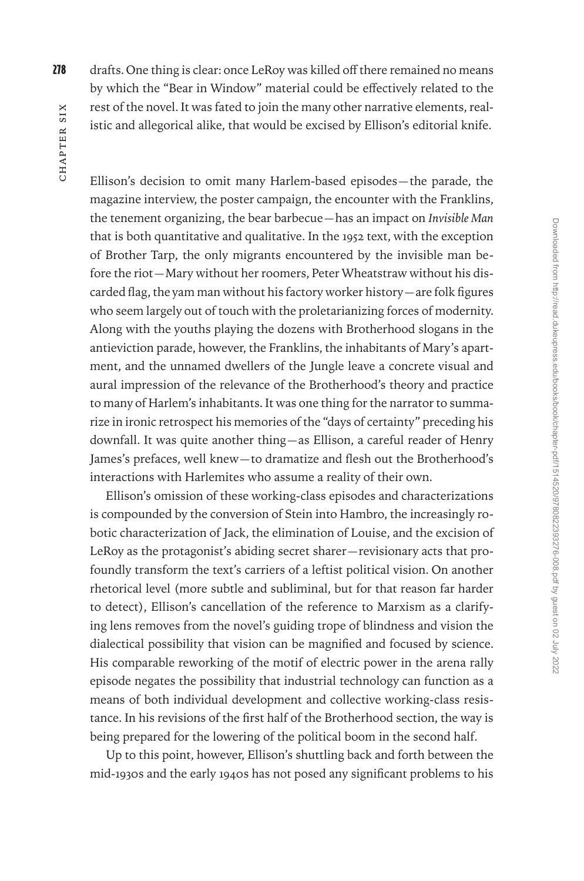278 drafts. One thing is clear: once LeRoy was killed off there remained no means by which the "Bear in Window" material could be effectively related to the rest of the novel. It was fated to join the many other narrative elements, realistic and allegorical alike, that would be excised by Ellison's editorial knife.

Ellison's decision to omit many Harlem-based episodes—the parade, the magazine interview, the poster campaign, the encounter with the Franklins, the tenement organizing, the bear barbecue—has an impact on *Invisible Man* that is both quantitative and qualitative. In the 1952 text, with the exception of Brother Tarp, the only migrants encountered by the invisible man before the riot—Mary without her roomers, Peter Wheatstraw without his discarded flag, the yam man without his factory worker history—are folk figures who seem largely out of touch with the proletarianizing forces of modernity. Along with the youths playing the dozens with Brotherhood slogans in the antieviction parade, however, the Franklins, the inhabitants of Mary's apartment, and the unnamed dwellers of the Jungle leave a concrete visual and aural impression of the relevance of the Brotherhood's theory and practice to many of Harlem's inhabitants. It was one thing for the narrator to summarize in ironic retrospect his memories of the "days of certainty" preceding his downfall. It was quite another thing—as Ellison, a careful reader of Henry James's prefaces, well knew—to dramatize and flesh out the Brotherhood's interactions with Harlemites who assume a reality of their own.

Ellison's omission of these working-class episodes and characterizations is compounded by the conversion of Stein into Hambro, the increasingly robotic characterization of Jack, the elimination of Louise, and the excision of LeRoy as the protagonist's abiding secret sharer—revisionary acts that profoundly transform the text's carriers of a leftist political vision. On another rhetorical level (more subtle and subliminal, but for that reason far harder to detect), Ellison's cancellation of the reference to Marxism as a clarifying lens removes from the novel's guiding trope of blindness and vision the dialectical possibility that vision can be magnified and focused by science. His comparable reworking of the motif of electric power in the arena rally episode negates the possibility that industrial technology can function as a means of both individual development and collective working-class resistance. In his revisions of the first half of the Brotherhood section, the way is being prepared for the lowering of the political boom in the second half.

Up to this point, however, Ellison's shuttling back and forth between the mid-1930s and the early 1940s has not posed any significant problems to his